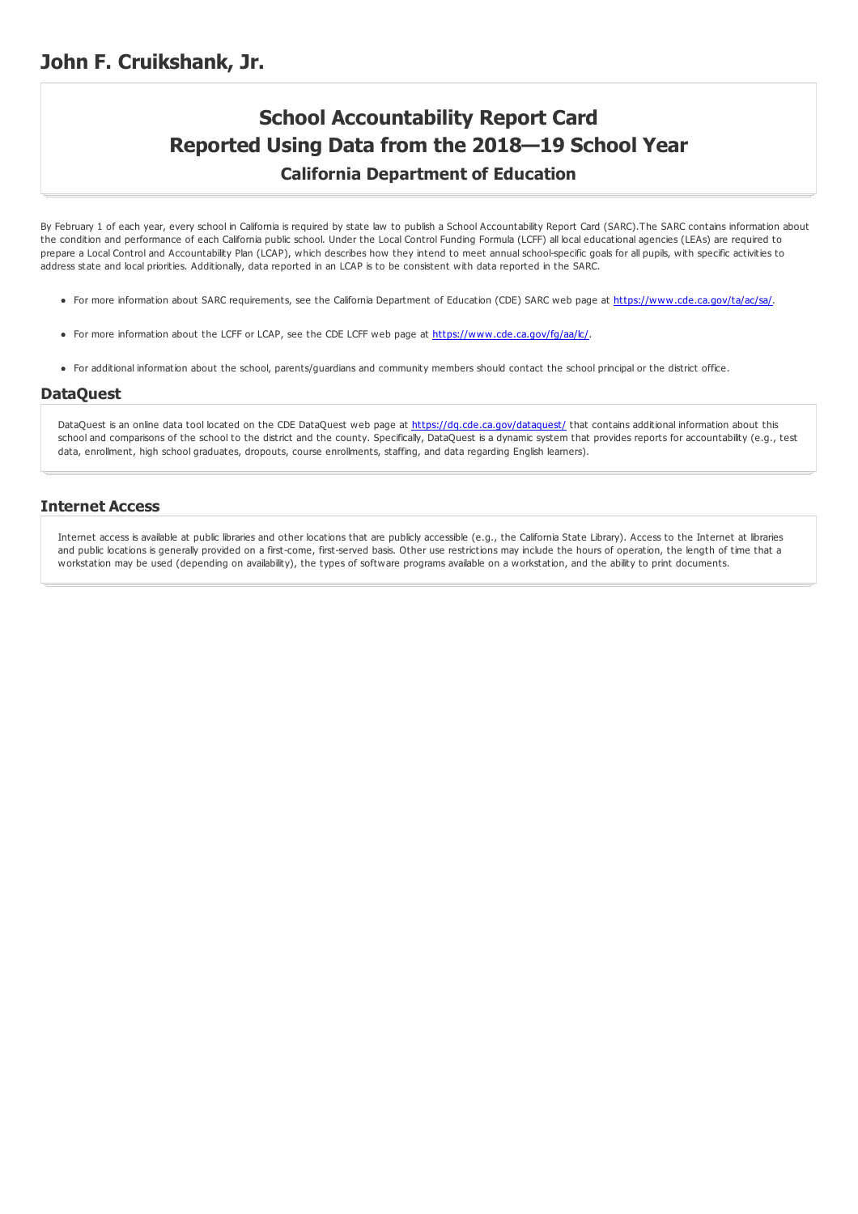# **School Accountability Report Card Reported Using Data from the 2018—19 School Year California Department of Education**

By February 1 of each year, every school in California is required by state law to publish a School Accountability Report Card (SARC).The SARC contains information about the condition and performance of each California public school. Under the Local Control Funding Formula (LCFF) all local educational agencies (LEAs) are required to prepare a Local Control and Accountability Plan (LCAP), which describes how they intend to meet annual school-specific goals for all pupils, with specific activities to address state and local priorities. Additionally, data reported in an LCAP is to be consistent with data reported in the SARC.

- For more information about SARC requirements, see the California Department of Education (CDE) SARC web page at <https://www.cde.ca.gov/ta/ac/sa/>.
- For more information about the LCFF or LCAP, see the CDE LCFF web page at <https://www.cde.ca.gov/fg/aa/lc/>.
- For additional information about the school, parents/guardians and community members should contact the school principal or the district office.

### **DataQuest**

DataQuest is an online data tool located on the CDE DataQuest web page at <https://dq.cde.ca.gov/dataquest/> that contains additional information about this school and comparisons of the school to the district and the county. Specifically, DataQuest is a dynamic system that provides reports for accountability (e.g., test data, enrollment, high school graduates, dropouts, course enrollments, staffing, and data regarding English learners).

### **Internet Access**

Internet access is available at public libraries and other locations that are publicly accessible (e.g., the California State Library). Access to the Internet at libraries and public locations is generally provided on a first-come, first-served basis. Other use restrictions may include the hours of operation, the length of time that a workstation may be used (depending on availability), the types of software programs available on a workstation, and the ability to print documents.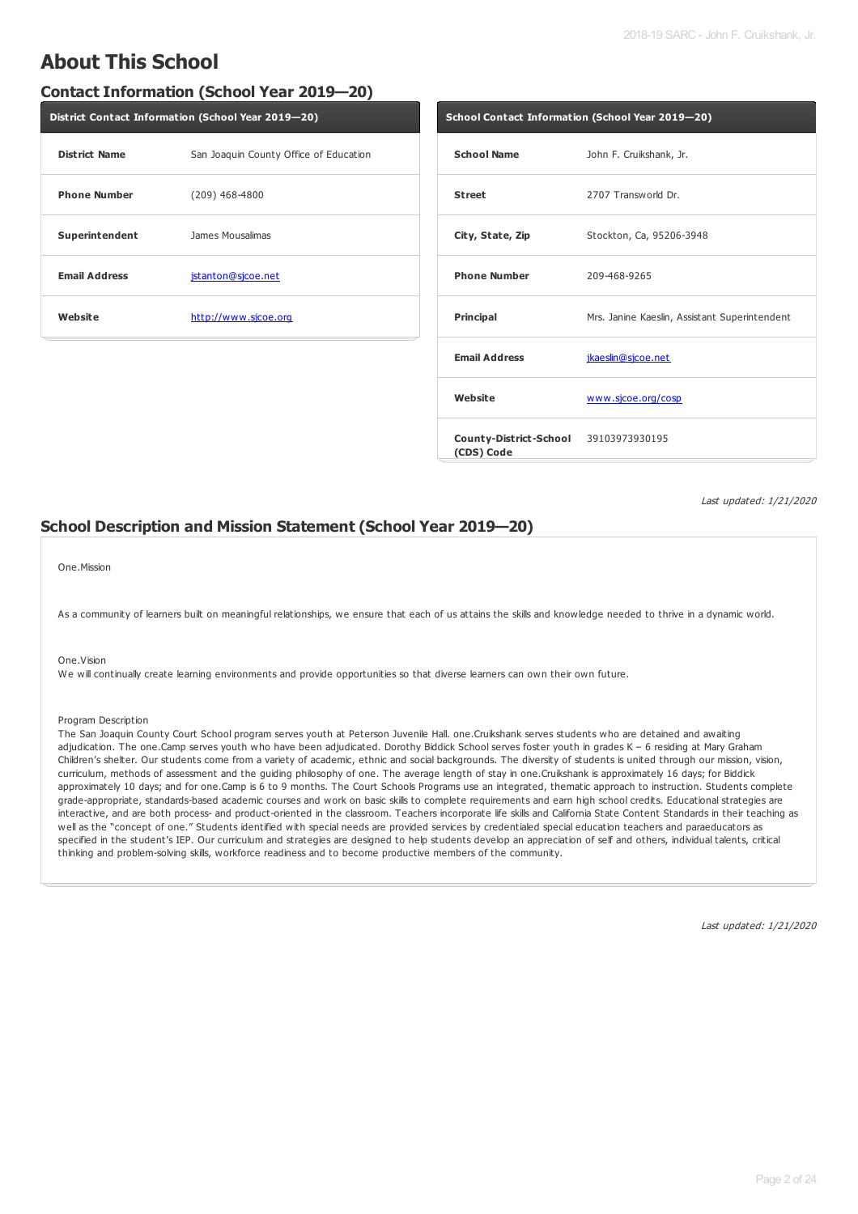# **About This School**

## **Contact Information (School Year 2019—20)**

| District Contact Information (School Year 2019-20) |                                        |  |  |
|----------------------------------------------------|----------------------------------------|--|--|
| <b>District Name</b>                               | San Joaquin County Office of Education |  |  |
| <b>Phone Number</b>                                | $(209)$ 468-4800                       |  |  |
| Superintendent                                     | James Mousalimas                       |  |  |
| <b>Email Address</b>                               | jstanton@sjcoe.net                     |  |  |
| Website                                            | http://www.sjcoe.org                   |  |  |

| School Contact Information (School Year 2019-20)    |                                               |  |  |  |
|-----------------------------------------------------|-----------------------------------------------|--|--|--|
| <b>School Name</b>                                  | John F. Cruikshank, Jr.                       |  |  |  |
| <b>Street</b>                                       | 2707 Transworld Dr.                           |  |  |  |
| City, State, Zip                                    | Stockton, Ca, 95206-3948                      |  |  |  |
| <b>Phone Number</b>                                 | 209-468-9265                                  |  |  |  |
| Principal                                           | Mrs. Janine Kaeslin, Assistant Superintendent |  |  |  |
| <b>Email Address</b>                                | jkaeslin@sjcoe.net                            |  |  |  |
| Website                                             | www.sjcoe.org/cosp                            |  |  |  |
| County-District-School 39103973930195<br>(CDS) Code |                                               |  |  |  |

Last updated: 1/21/2020

# **School Description and Mission Statement (School Year 2019—20)**

#### One.Mission

As a community of learners built on meaningful relationships, we ensure that each of us attains the skills and knowledge needed to thrive in a dynamic world.

### One.Vision

We will continually create learning environments and provide opportunities so that diverse learners can own their own future.

#### Program Description

The San Joaquin County Court School program serves youth at Peterson Juvenile Hall. one.Cruikshank serves students who are detained and awaiting adjudication. The one.Camp serves youth who have been adjudicated. Dorothy Biddick School serves foster youth in grades K – 6 residing at Mary Graham Children's shelter. Our students come from a variety of academic, ethnic and social backgrounds. The diversity of students is united through our mission, vision, curriculum, methods of assessment and the guiding philosophy of one. The average length of stay in one.Cruikshank is approximately 16 days; for Biddick approximately 10 days; and for one.Camp is 6 to 9 months. The Court Schools Programs use an integrated, thematic approach to instruction. Students complete grade-appropriate, standards-based academic courses and work on basic skills to complete requirements and earn high school credits. Educational strategies are interactive, and are both process- and product-oriented in the classroom. Teachers incorporate life skills and California State Content Standards in their teaching as well as the "concept of one." Students identified with special needs are provided services by credentialed special education teachers and paraeducators as specified in the student's IEP. Our curriculum and strategies are designed to help students develop an appreciation of self and others, individual talents, critical thinking and problem-solving skills, workforce readiness and to become productive members of the community.

Last updated: 1/21/2020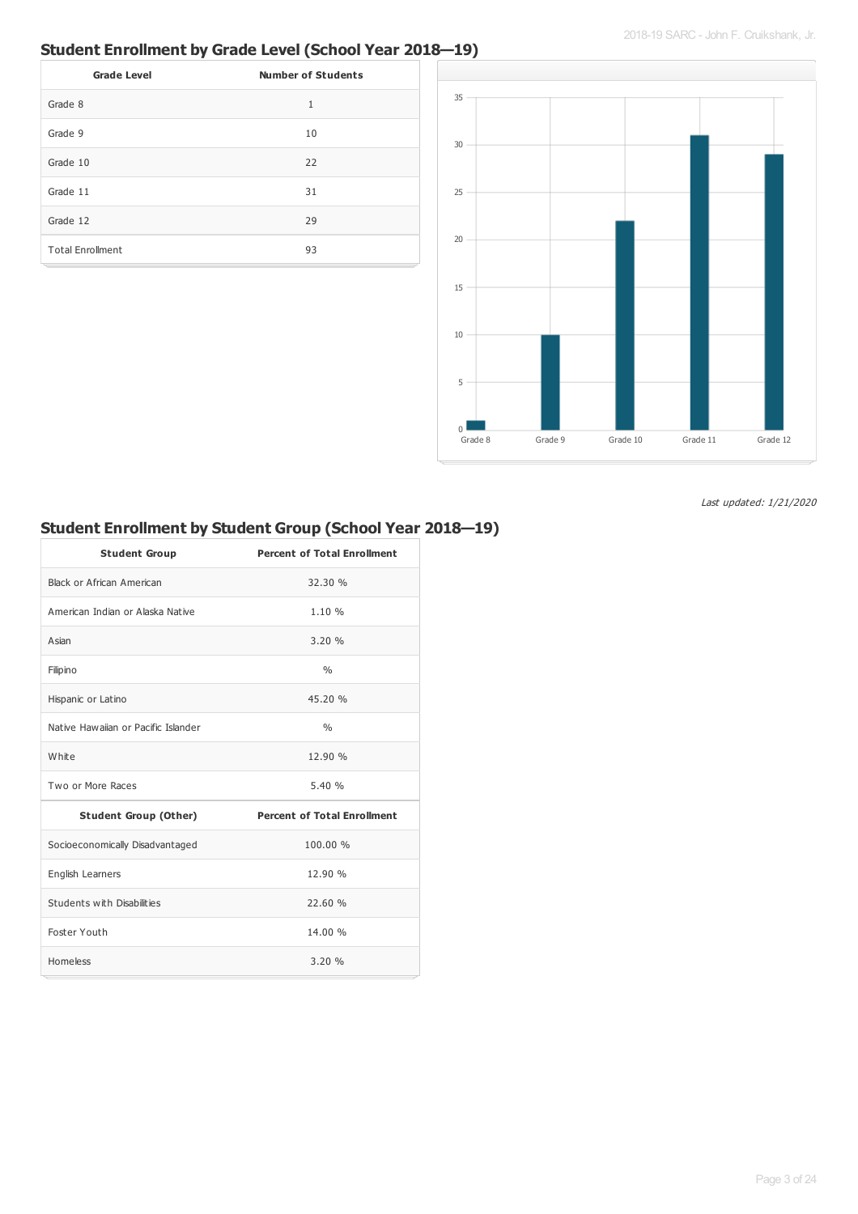# **Student Enrollment by Grade Level (School Year 2018—19)**

| <b>Grade Level</b>      | <b>Number of Students</b> |
|-------------------------|---------------------------|
| Grade 8                 | $\mathbf{1}$              |
| Grade 9                 | 10                        |
| Grade 10                | 22                        |
| Grade 11                | 31                        |
| Grade 12                | 29                        |
| <b>Total Enrollment</b> | 93                        |



Last updated: 1/21/2020

# **Student Enrollment by Student Group (School Year 2018—19)**

| <b>Student Group</b>                | <b>Percent of Total Enrollment</b> |
|-------------------------------------|------------------------------------|
| Black or African American           | 32.30 %                            |
| American Indian or Alaska Native    | 1.10 %                             |
| Asian                               | 3.20%                              |
| Filipino                            | 0/6                                |
| Hispanic or Latino                  | 45.20%                             |
| Native Hawaiian or Pacific Islander | $\frac{0}{0}$                      |
| White                               | 12.90 %                            |
| Two or More Races                   | 5.40%                              |
| <b>Student Group (Other)</b>        | <b>Percent of Total Enrollment</b> |
| Socioeconomically Disadvantaged     | 100.00 %                           |
| English Learners                    | 12.90%                             |
| Students with Disabilities          | 22.60%                             |
| Foster Youth                        | 14.00 %                            |
| Homeless                            | 3.20%                              |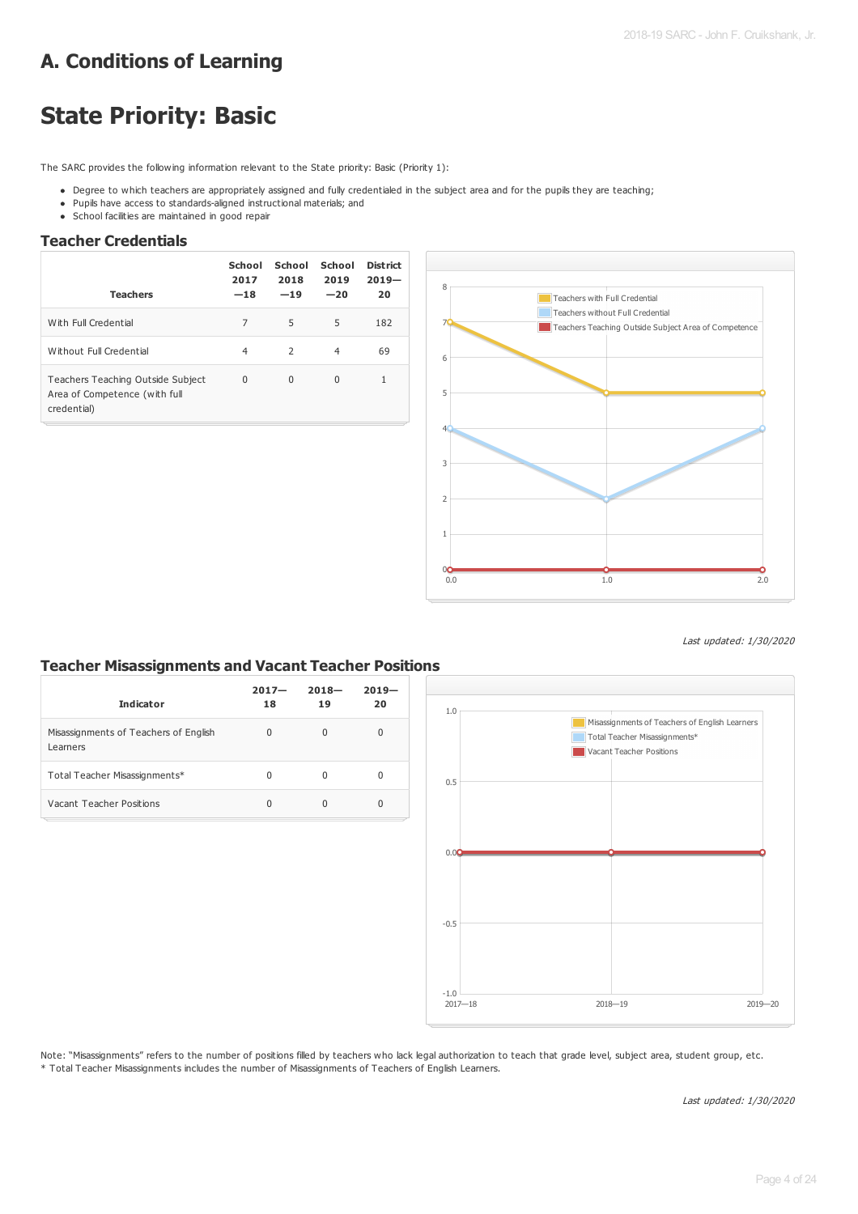# **A. Conditions of Learning**

# **State Priority: Basic**

The SARC provides the following information relevant to the State priority: Basic (Priority 1):

- Degree to which teachers are appropriately assigned and fully credentialed in the subject area and for the pupils they are teaching;
- Pupils have access to standards-aligned instructional materials; and
- School facilities are maintained in good repair

# **Teacher Credentials**

| <b>Teachers</b>                                                                   | School<br>2017<br>$-18$ | School<br>2018<br>$-19$ | School<br>2019<br>$-20$ | District<br>$2019 -$<br>20 |
|-----------------------------------------------------------------------------------|-------------------------|-------------------------|-------------------------|----------------------------|
| With Full Credential                                                              | 7                       | 5                       | 5                       | 182                        |
| Without Full Credential                                                           | $\overline{4}$          | $\overline{2}$          | 4                       | 69                         |
| Teachers Teaching Outside Subject<br>Area of Competence (with full<br>credential) | 0                       | $\Omega$                | $\Omega$                | 1                          |



Last updated: 1/30/2020

# **Teacher Misassignments and Vacant Teacher Positions**

| <b>Indicator</b>                                  | $2017 -$<br>18 | $2018 -$<br>19 | $2019-$<br>20 |
|---------------------------------------------------|----------------|----------------|---------------|
| Misassignments of Teachers of English<br>Learners | $\Omega$       | $\Omega$       | $\Omega$      |
| Total Teacher Misassignments*                     | 0              | 0              | 0             |
| Vacant Teacher Positions                          | $\Omega$       | 0              | 0             |



Note: "Misassignments" refers to the number of positions filled by teachers who lack legal authorization to teach that grade level, subject area, student group, etc. \* Total Teacher Misassignments includes the number of Misassignments of Teachers of English Learners.

Last updated: 1/30/2020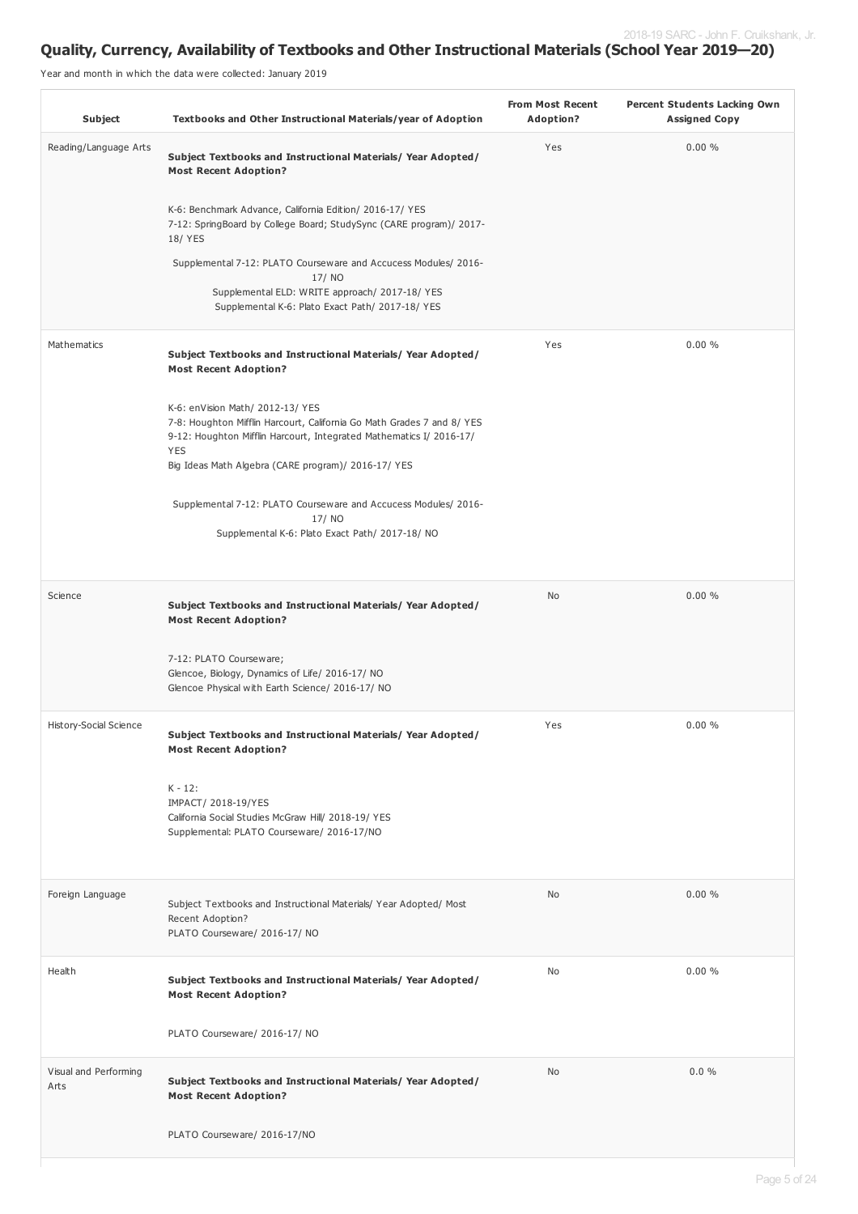# **Quality, Currency, Availability of Textbooks and Other Instructional Materials (School Year 2019—20)**

Year and month in which the data were collected: January 2019

| Subject                       | Textbooks and Other Instructional Materials/year of Adoption                                                                                                                                                                                           | <b>From Most Recent</b><br><b>Adoption?</b> | <b>Percent Students Lacking Own</b><br><b>Assigned Copy</b> |
|-------------------------------|--------------------------------------------------------------------------------------------------------------------------------------------------------------------------------------------------------------------------------------------------------|---------------------------------------------|-------------------------------------------------------------|
| Reading/Language Arts         | Subject Textbooks and Instructional Materials/Year Adopted/<br><b>Most Recent Adoption?</b>                                                                                                                                                            | Yes                                         | 0.00%                                                       |
|                               | K-6: Benchmark Advance, California Edition/ 2016-17/ YES<br>7-12: SpringBoard by College Board; StudySync (CARE program)/ 2017-<br>18/ YES                                                                                                             |                                             |                                                             |
|                               | Supplemental 7-12: PLATO Courseware and Accucess Modules/ 2016-<br>17/NO<br>Supplemental ELD: WRITE approach/ 2017-18/ YES<br>Supplemental K-6: Plato Exact Path/ 2017-18/ YES                                                                         |                                             |                                                             |
| Mathematics                   | Subject Textbooks and Instructional Materials/Year Adopted/<br><b>Most Recent Adoption?</b>                                                                                                                                                            | Yes                                         | 0.00%                                                       |
|                               | K-6: enVision Math/ 2012-13/ YES<br>7-8: Houghton Mifflin Harcourt, California Go Math Grades 7 and 8/ YES<br>9-12: Houghton Mifflin Harcourt, Integrated Mathematics I/ 2016-17/<br><b>YES</b><br>Big Ideas Math Algebra (CARE program)/ 2016-17/ YES |                                             |                                                             |
|                               | Supplemental 7-12: PLATO Courseware and Accucess Modules/ 2016-<br>17/NO<br>Supplemental K-6: Plato Exact Path/ 2017-18/ NO                                                                                                                            |                                             |                                                             |
| Science                       | Subject Textbooks and Instructional Materials/Year Adopted/<br><b>Most Recent Adoption?</b>                                                                                                                                                            | No                                          | 0.00%                                                       |
|                               | 7-12: PLATO Courseware;<br>Glencoe, Biology, Dynamics of Life/ 2016-17/ NO<br>Glencoe Physical with Earth Science/ 2016-17/ NO                                                                                                                         |                                             |                                                             |
| History-Social Science        | Subject Textbooks and Instructional Materials/Year Adopted/<br><b>Most Recent Adoption?</b>                                                                                                                                                            | Yes                                         | 0.00%                                                       |
|                               | $K - 12$ :<br>IMPACT/ 2018-19/YES<br>California Social Studies McGraw Hill/ 2018-19/ YES<br>Supplemental: PLATO Courseware/ 2016-17/NO                                                                                                                 |                                             |                                                             |
| Foreign Language              | Subject Textbooks and Instructional Materials/ Year Adopted/ Most<br>Recent Adoption?<br>PLATO Courseware/ 2016-17/ NO                                                                                                                                 | No                                          | 0.00%                                                       |
| Health                        | Subject Textbooks and Instructional Materials/Year Adopted/<br><b>Most Recent Adoption?</b>                                                                                                                                                            | No                                          | 0.00%                                                       |
|                               | PLATO Courseware/ 2016-17/ NO                                                                                                                                                                                                                          |                                             |                                                             |
| Visual and Performing<br>Arts | Subject Textbooks and Instructional Materials/Year Adopted/<br><b>Most Recent Adoption?</b>                                                                                                                                                            | No                                          | 0.0%                                                        |
|                               | PLATO Courseware/ 2016-17/NO                                                                                                                                                                                                                           |                                             |                                                             |
|                               |                                                                                                                                                                                                                                                        |                                             |                                                             |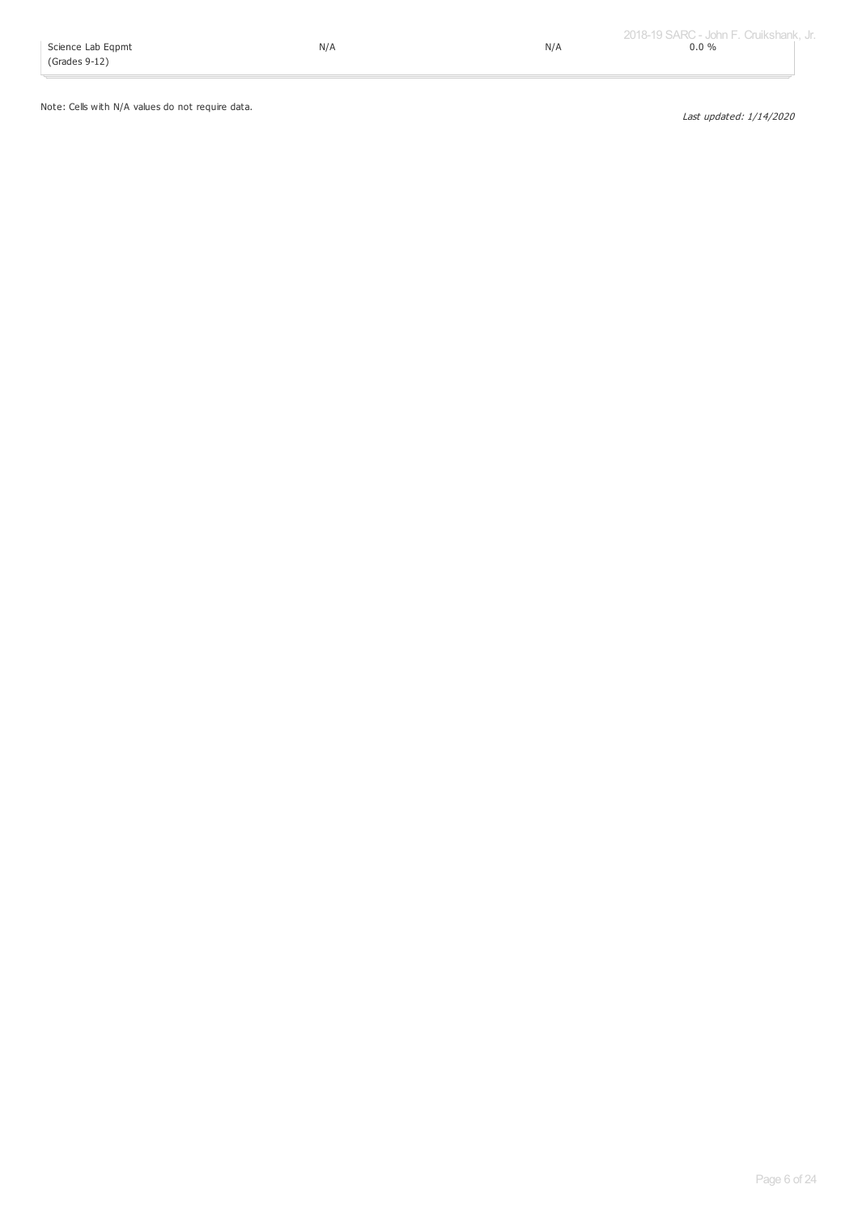Note: Cells with N/A values do not require data.

Last updated: 1/14/2020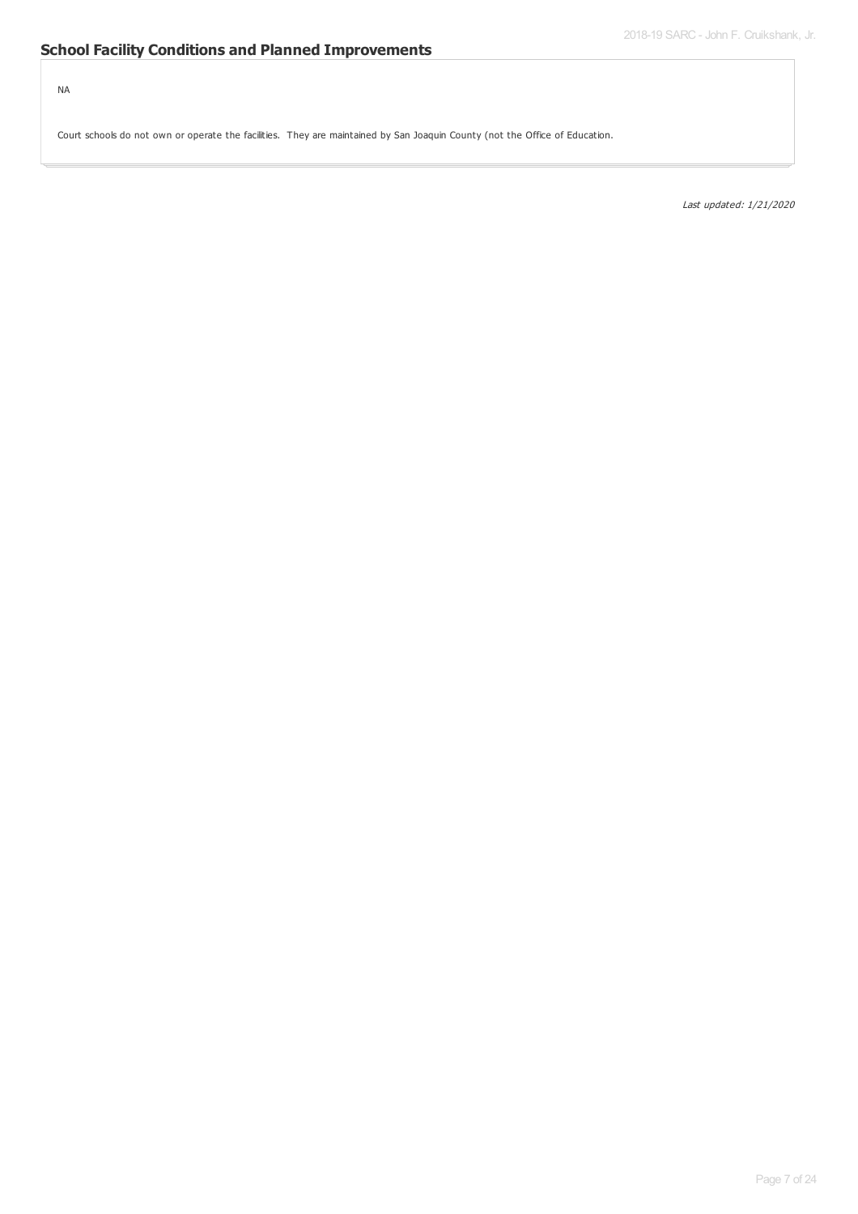# **School Facility Conditions and Planned Improvements**

NA

Court schools do not own or operate the facilities. They are maintained by San Joaquin County (not the Office of Education.

Last updated: 1/21/2020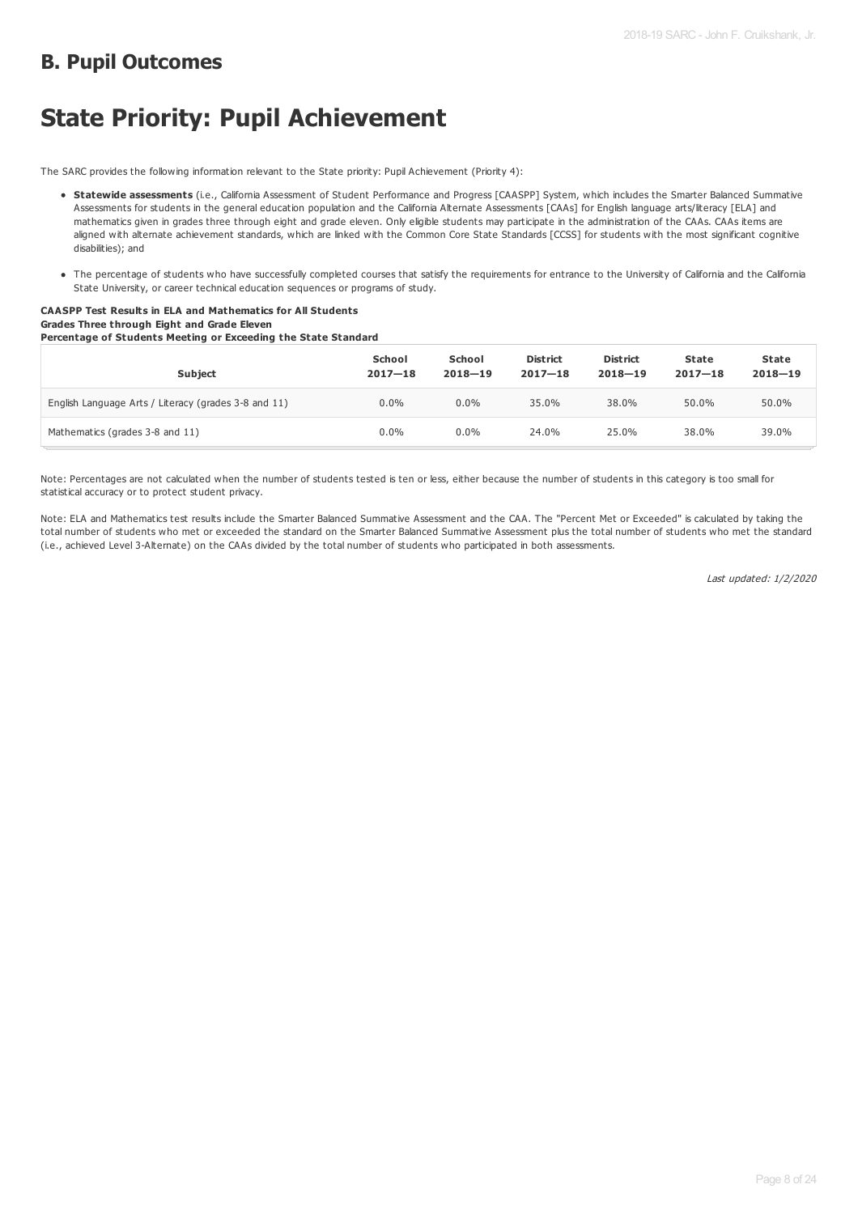# **B. Pupil Outcomes**

# **State Priority: Pupil Achievement**

The SARC provides the following information relevant to the State priority: Pupil Achievement (Priority 4):

- **Statewide assessments** (i.e., California Assessment of Student Performance and Progress [CAASPP] System, which includes the Smarter Balanced Summative Assessments for students in the general education population and the California Alternate Assessments [CAAs] for English language arts/literacy [ELA] and mathematics given in grades three through eight and grade eleven. Only eligible students may participate in the administration of the CAAs. CAAs items are aligned with alternate achievement standards, which are linked with the Common Core State Standards [CCSS] for students with the most significant cognitive disabilities); and
- The percentage of students who have successfully completed courses that satisfy the requirements for entrance to the University of California and the California State University, or career technical education sequences or programs of study.

#### **CAASPP Test Results in ELA and Mathematics for All Students Grades Three through Eight and Grade Eleven Percentage of Students Meeting or Exceeding the State Standard**

| <b>Subject</b>                                       | School<br>$2017 - 18$ | <b>School</b><br>$2018 - 19$ | <b>District</b><br>$2017 - 18$ | <b>District</b><br>$2018 - 19$ | State<br>$2017 - 18$ | State<br>$2018 - 19$ |
|------------------------------------------------------|-----------------------|------------------------------|--------------------------------|--------------------------------|----------------------|----------------------|
| English Language Arts / Literacy (grades 3-8 and 11) | $0.0\%$               | $0.0\%$                      | 35.0%                          | 38.0%                          | 50.0%                | 50.0%                |
| Mathematics (grades 3-8 and 11)                      | $0.0\%$               | $0.0\%$                      | 24.0%                          | 25.0%                          | 38.0%                | 39.0%                |

Note: Percentages are not calculated when the number of students tested is ten or less, either because the number of students in this category is too small for statistical accuracy or to protect student privacy.

Note: ELA and Mathematics test results include the Smarter Balanced Summative Assessment and the CAA. The "Percent Met or Exceeded" is calculated by taking the total number of students who met or exceeded the standard on the Smarter Balanced Summative Assessment plus the total number of students who met the standard (i.e., achieved Level 3-Alternate) on the CAAs divided by the total number of students who participated in both assessments.

Last updated: 1/2/2020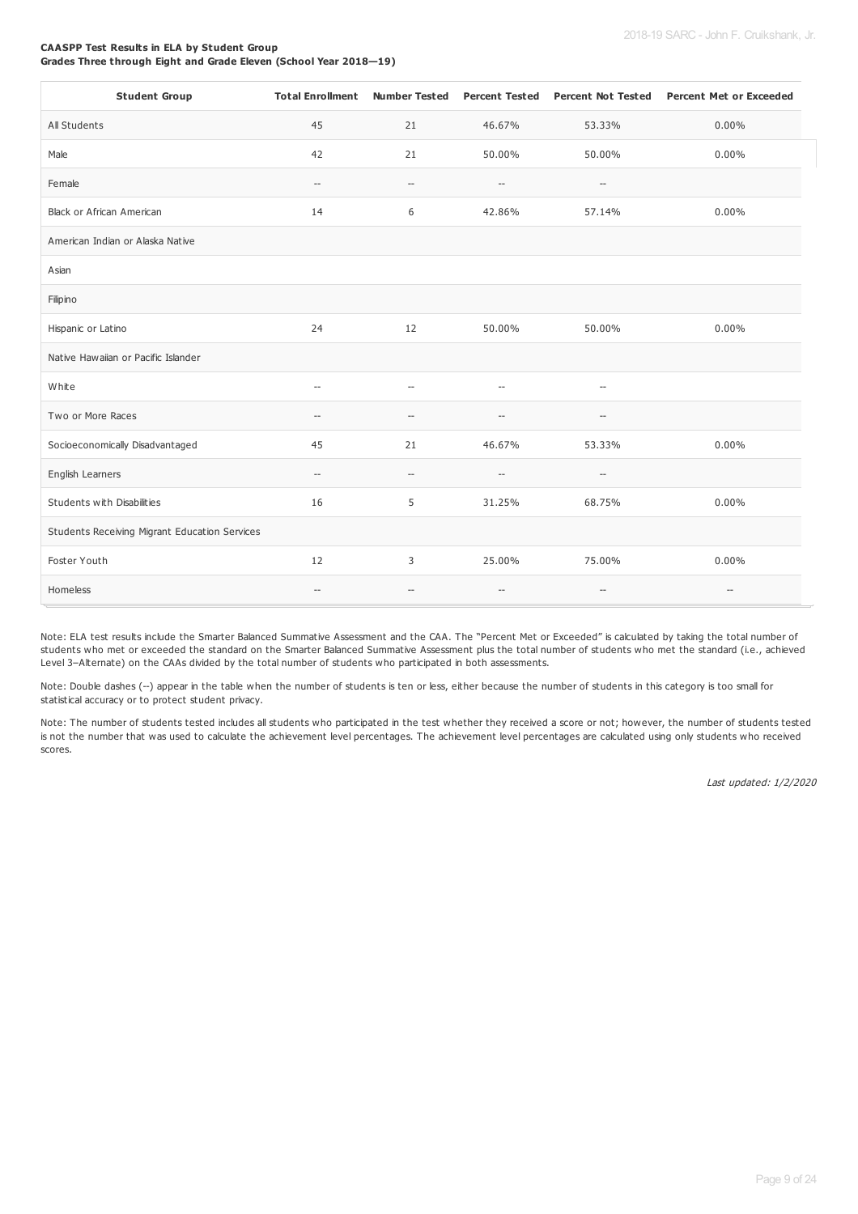### **CAASPP Test Results in ELA by Student Group Grades Three through Eight and Grade Eleven (School Year 2018—19)**

| <b>Student Group</b>                          |                          |                                    |                                    |                                                     | Total Enrollment Number Tested Percent Tested Percent Not Tested Percent Met or Exceeded |
|-----------------------------------------------|--------------------------|------------------------------------|------------------------------------|-----------------------------------------------------|------------------------------------------------------------------------------------------|
| All Students                                  | 45                       | 21                                 | 46.67%                             | 53.33%                                              | 0.00%                                                                                    |
| Male                                          | 42                       | 21                                 | 50.00%                             | 50.00%                                              | 0.00%                                                                                    |
| Female                                        | $\overline{\phantom{a}}$ | $\overline{\phantom{a}}$           | --                                 | $-\hbox{--}$                                        |                                                                                          |
| <b>Black or African American</b>              | 14                       | 6                                  | 42.86%                             | 57.14%                                              | 0.00%                                                                                    |
| American Indian or Alaska Native              |                          |                                    |                                    |                                                     |                                                                                          |
| Asian                                         |                          |                                    |                                    |                                                     |                                                                                          |
| Filipino                                      |                          |                                    |                                    |                                                     |                                                                                          |
| Hispanic or Latino                            | 24                       | 12                                 | 50.00%                             | 50.00%                                              | $0.00\%$                                                                                 |
| Native Hawaiian or Pacific Islander           |                          |                                    |                                    |                                                     |                                                                                          |
| White                                         | $\overline{\phantom{a}}$ | $-$                                | $\overline{\phantom{a}}$           | $\hspace{0.05cm} -\hspace{0.05cm} -\hspace{0.05cm}$ |                                                                                          |
| Two or More Races                             | $\overline{\phantom{a}}$ | $-$                                | $\overline{\phantom{a}}$           | $-\!$                                               |                                                                                          |
| Socioeconomically Disadvantaged               | 45                       | 21                                 | 46.67%                             | 53.33%                                              | 0.00%                                                                                    |
| English Learners                              | $\overline{\phantom{a}}$ | --                                 | $\cdots$                           | $-\!$                                               |                                                                                          |
| Students with Disabilities                    | 16                       | 5                                  | 31.25%                             | 68.75%                                              | 0.00%                                                                                    |
| Students Receiving Migrant Education Services |                          |                                    |                                    |                                                     |                                                                                          |
| Foster Youth                                  | 12                       | 3                                  | 25.00%                             | 75.00%                                              | 0.00%                                                                                    |
| Homeless                                      | $\hspace{0.05cm} \ldots$ | $\hspace{0.05cm} -\hspace{0.05cm}$ | $\hspace{0.05cm} -\hspace{0.05cm}$ | $\hspace{0.05cm} -\hspace{0.05cm} -\hspace{0.05cm}$ | $-\!$                                                                                    |

Note: ELA test results include the Smarter Balanced Summative Assessment and the CAA. The "Percent Met or Exceeded" is calculated by taking the total number of students who met or exceeded the standard on the Smarter Balanced Summative Assessment plus the total number of students who met the standard (i.e., achieved Level 3-Alternate) on the CAAs divided by the total number of students who participated in both assessments.

Note: Double dashes (--) appear in the table when the number of students is ten or less, either because the number of students in this category is too small for statistical accuracy or to protect student privacy.

Note: The number of students tested includes all students who participated in the test whether they received a score or not; however, the number of students tested is not the number that was used to calculate the achievement level percentages. The achievement level percentages are calculated using only students who received scores.

Last updated: 1/2/2020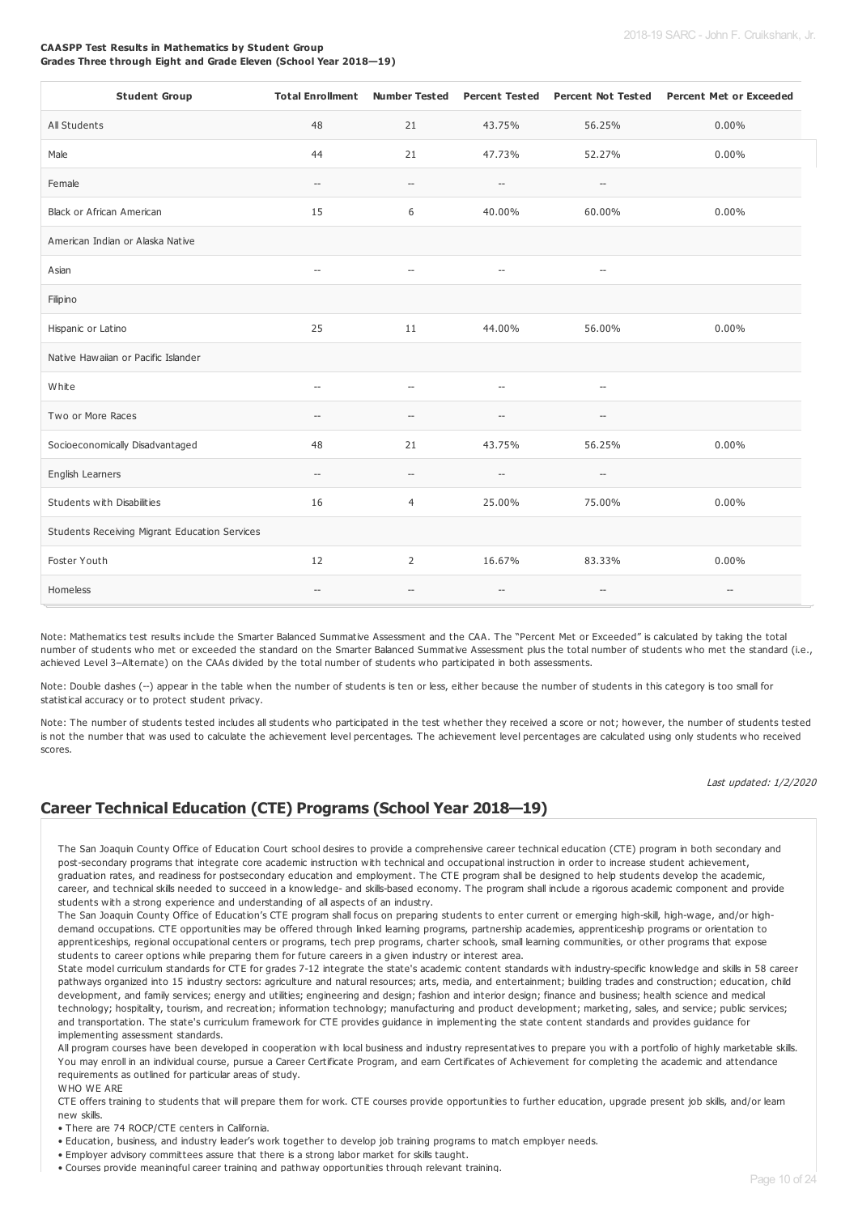#### **CAASPP Test Results in Mathematics by Student Group Grades Three through Eight and Grade Eleven (School Year 2018—19)**

| <b>Student Group</b>                          | <b>Total Enrollment</b>  |                                    | <b>Number Tested Percent Tested</b> |                                                     | Percent Not Tested  Percent Met or Exceeded |
|-----------------------------------------------|--------------------------|------------------------------------|-------------------------------------|-----------------------------------------------------|---------------------------------------------|
| All Students                                  | 48                       | 21                                 | 43.75%                              | 56.25%                                              | $0.00\%$                                    |
| Male                                          | 44                       | 21                                 | 47.73%                              | 52.27%                                              | 0.00%                                       |
| Female                                        | $\hspace{0.05cm} \ldots$ | $\hspace{0.05cm} \dashv$           | $\hspace{0.05cm} -\hspace{0.05cm}$  | $-\!$                                               |                                             |
| Black or African American                     | 15                       | 6                                  | 40.00%                              | 60.00%                                              | $0.00\%$                                    |
| American Indian or Alaska Native              |                          |                                    |                                     |                                                     |                                             |
| Asian                                         | $\hspace{0.05cm} \ldots$ | $\qquad \qquad -$                  | $\overline{\phantom{a}}$            | $-\!$                                               |                                             |
| Filipino                                      |                          |                                    |                                     |                                                     |                                             |
| Hispanic or Latino                            | 25                       | 11                                 | 44.00%                              | 56.00%                                              | 0.00%                                       |
| Native Hawaiian or Pacific Islander           |                          |                                    |                                     |                                                     |                                             |
| White                                         | $\hspace{0.05cm} \ldots$ | $\overline{\phantom{a}}$           | $\hspace{0.05cm} \ldots$            | $\overline{\phantom{a}}$                            |                                             |
| Two or More Races                             | $\overline{\phantom{a}}$ | $-$                                | $\overline{\phantom{a}}$            | $\overline{\phantom{a}}$                            |                                             |
| Socioeconomically Disadvantaged               | 48                       | 21                                 | 43.75%                              | 56.25%                                              | $0.00\%$                                    |
| English Learners                              | $\hspace{0.05cm} \ldots$ | $\hspace{0.05cm} \dashv$           | $\hspace{0.05cm} -\hspace{0.05cm}$  | $-\hbox{--}$                                        |                                             |
| Students with Disabilities                    | 16                       | $\overline{4}$                     | 25.00%                              | 75.00%                                              | $0.00\%$                                    |
| Students Receiving Migrant Education Services |                          |                                    |                                     |                                                     |                                             |
| Foster Youth                                  | 12                       | 2                                  | 16.67%                              | 83.33%                                              | $0.00\%$                                    |
| Homeless                                      | $\hspace{0.05cm} \ldots$ | $\hspace{0.05cm} -\hspace{0.05cm}$ | $\hspace{0.05cm} \ldots$            | $\hspace{0.05cm} -\hspace{0.05cm} -\hspace{0.05cm}$ | $-\!$                                       |

Note: Mathematics test results include the Smarter Balanced Summative Assessment and the CAA. The "Percent Met or Exceeded" is calculated by taking the total number of students who met or exceeded the standard on the Smarter Balanced Summative Assessment plus the total number of students who met the standard (i.e., achieved Level 3–Alternate) on the CAAs divided by the total number of students who participated in both assessments.

Note: Double dashes (--) appear in the table when the number of students is ten or less, either because the number of students in this category is too small for statistical accuracy or to protect student privacy.

Note: The number of students tested includes all students who participated in the test whether they received a score or not; however, the number of students tested is not the number that was used to calculate the achievement level percentages. The achievement level percentages are calculated using only students who received scores.

Last updated: 1/2/2020

# **Career Technical Education (CTE) Programs (School Year 2018—19)**

The San Joaquin County Office of Education Court school desires to provide a comprehensive career technical education (CTE) program in both secondary and post-secondary programs that integrate core academic instruction with technical and occupational instruction in order to increase student achievement, graduation rates, and readiness for postsecondary education and employment. The CTE program shall be designed to help students develop the academic, career, and technical skills needed to succeed in a knowledge- and skills-based economy. The program shall include a rigorous academic component and provide students with a strong experience and understanding of all aspects of an industry.

The San Joaquin County Office of Education's CTE program shall focus on preparing students to enter current or emerging high-skill, high-wage, and/or highdemand occupations. CTE opportunities may be offered through linked learning programs, partnership academies, apprenticeship programs or orientation to apprenticeships, regional occupational centers or programs, tech prep programs, charter schools, small learning communities, or other programs that expose students to career options while preparing them for future careers in a given industry or interest area.

State model curriculum standards for CTE for grades 7-12 integrate the state's academic content standards with industry-specific knowledge and skills in 58 career pathways organized into 15 industry sectors: agriculture and natural resources; arts, media, and entertainment; building trades and construction; education, child development, and family services; energy and utilities; engineering and design; fashion and interior design; finance and business; health science and medical technology; hospitality, tourism, and recreation; information technology; manufacturing and product development; marketing, sales, and service; public services; and transportation. The state's curriculum framework for CTE provides guidance in implementing the state content standards and provides guidance for implementing assessment standards.

All program courses have been developed in cooperation with local business and industry representatives to prepare you with a portfolio of highly marketable skills. You may enroll in an individual course, pursue a Career Certificate Program, and earn Certificates of Achievement for completing the academic and attendance requirements as outlined for particular areas of study. WHO WE ARE

CTE offers training to students that will prepare them for work. CTE courses provide opportunities to further education, upgrade present job skills, and/or learn new skills.

• There are 74 ROCP/CTE centers in California.

- Education, business, and industry leader's work together to develop job training programs to match employer needs.
- Employer advisory committees assure that there is a strong labor market for skills taught.
- Courses provide meaningful career training and pathway opportunities through relevant training.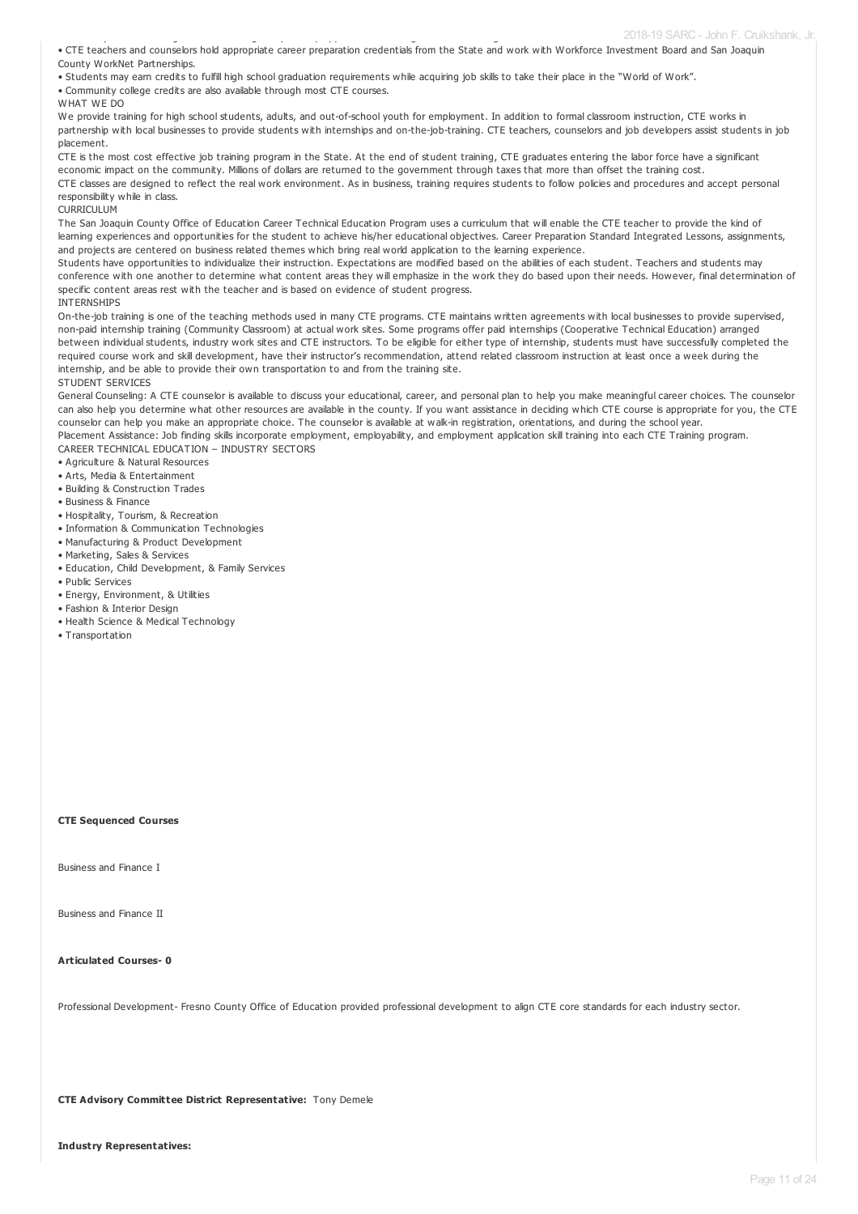• Courses provide meaningful career training and pathway opportunities through relevant training. • CTE teachers and counselors hold appropriate career preparation credentials from the State and work with Workforce Investment Board and San Joaquin County WorkNet Partnerships.

• Students may earn credits to fulfill high school graduation requirements while acquiring job skills to take their place in the "World of Work".

• Community college credits are also available through most CTE courses.

WHAT WE DO

We provide training for high school students, adults, and out-of-school youth for employment. In addition to formal classroom instruction, CTE works in partnership with local businesses to provide students with internships and on-the-job-training. CTE teachers, counselors and job developers assist students in job placement.

CTE is the most cost effective job training program in the State. At the end of student training, CTE graduates entering the labor force have a significant economic impact on the community. Millions of dollars are returned to the government through taxes that more than offset the training cost.

CTE classes are designed to reflect the real work environment. As in business, training requires students to follow policies and procedures and accept personal responsibility while in class.

CURRICULUM

The San Joaquin County Office of Education Career Technical Education Program uses a curriculum that will enable the CTE teacher to provide the kind of learning experiences and opportunities for the student to achieve his/her educational objectives. Career Preparation Standard Integrated Lessons, assignments, and projects are centered on business related themes which bring real world application to the learning experience.

Students have opportunities to individualize their instruction. Expectations are modified based on the abilities of each student. Teachers and students may conference with one another to determine what content areas they will emphasize in the work they do based upon their needs. However, final determination of specific content areas rest with the teacher and is based on evidence of student progress.

INTERNSHIPS

On-the-job training is one of the teaching methods used in many CTE programs. CTE maintains written agreements with local businesses to provide supervised, non-paid internship training (Community Classroom) at actual work sites. Some programs offer paid internships (Cooperative Technical Education) arranged between individual students, industry work sites and CTE instructors. To be eligible for either type of internship, students must have successfully completed the required course work and skill development, have their instructor's recommendation, attend related classroom instruction at least once a week during the internship, and be able to provide their own transportation to and from the training site. STUDENT SERVICES

General Counseling: A CTE counselor is available to discuss your educational, career, and personal plan to help you make meaningful career choices. The counselor can also help you determine what other resources are available in the county. If you want assistance in deciding which CTE course is appropriate for you, the CTE counselor can help you make an appropriate choice. The counselor is available at walk-in registration, orientations, and during the school year.

Placement Assistance: Job finding skills incorporate employment, employability, and employment application skill training into each CTE Training program. CAREER TECHNICAL EDUCATION – INDUSTRY SECTORS

• Agriculture & Natural Resources

• Arts, Media & Entertainment

- Building & Construction Trades
- Business & Finance
- Hospitality, Tourism, & Recreation
- Information & Communication Technologies
- Manufacturing & Product Development
- Marketing, Sales & Services
- Education, Child Development, & Family Services
- Public Services
- Energy, Environment, & Utilities
- Fashion & Interior Design
- Health Science & Medical Technology
- Transportation

#### **CTE Sequenced Courses**

Business and Finance I

Business and Finance II

**Articulated Courses- 0**

Professional Development- Fresno County Office of Education provided professional development to align CTE core standards for each industry sector.

**CTE Advisory Committee District Representative:** Tony Demele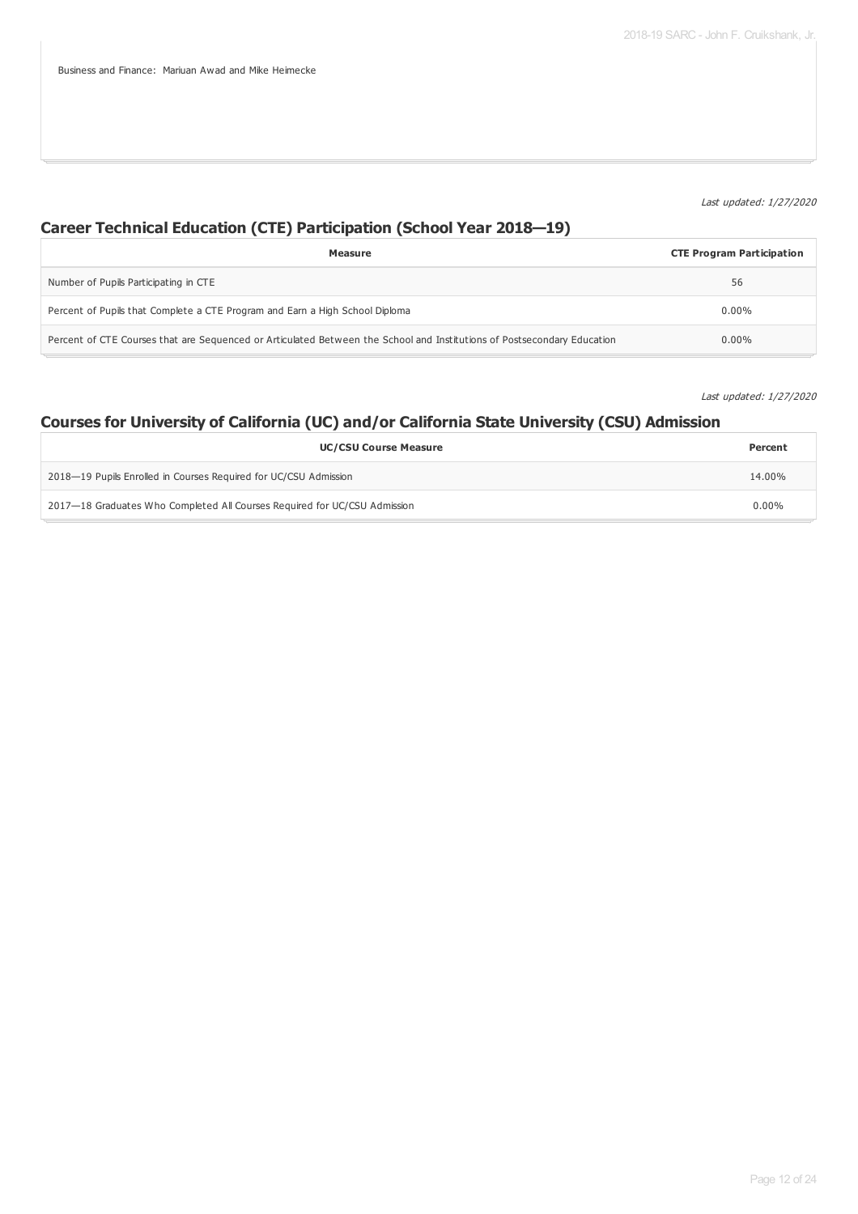### Last updated: 1/27/2020

# **Career Technical Education (CTE) Participation (School Year 2018—19)**

| <b>Measure</b>                                                                                                          | <b>CTE Program Participation</b> |
|-------------------------------------------------------------------------------------------------------------------------|----------------------------------|
| Number of Pupils Participating in CTE                                                                                   | 56                               |
| Percent of Pupils that Complete a CTE Program and Earn a High School Diploma                                            | $0.00\%$                         |
| Percent of CTE Courses that are Sequenced or Articulated Between the School and Institutions of Postsecondary Education | $0.00\%$                         |

Last updated: 1/27/2020

# **Courses for University of California (UC) and/or California State University (CSU) Admission**

| <b>UC/CSU Course Measure</b>                                              | Percent  |
|---------------------------------------------------------------------------|----------|
| 2018–19 Pupils Enrolled in Courses Required for UC/CSU Admission          | 14.00%   |
| 2017—18 Graduates Who Completed All Courses Required for UC/CSU Admission | $0.00\%$ |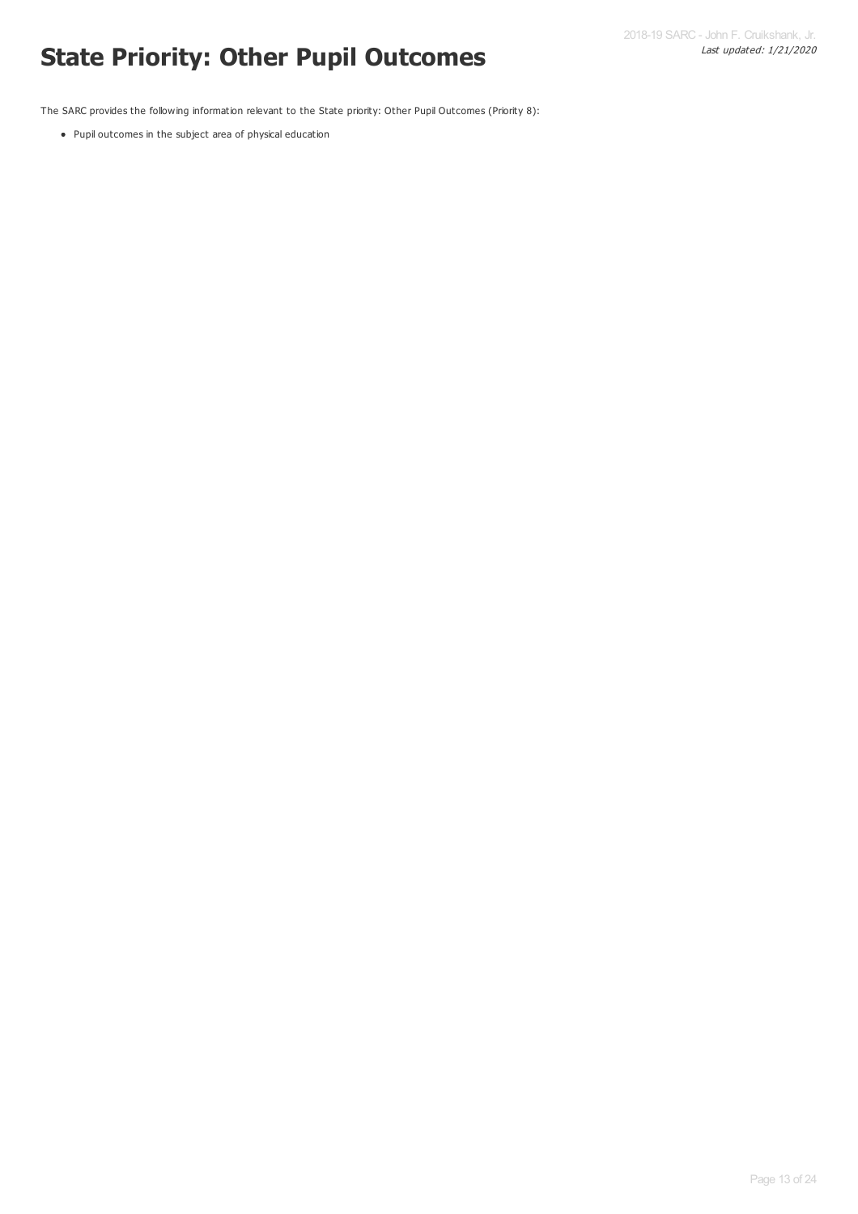# Last updated: 1/21/2020 **State Priority: Other Pupil Outcomes**

The SARC provides the following information relevant to the State priority: Other Pupil Outcomes (Priority 8):

Pupil outcomes in the subject area of physical education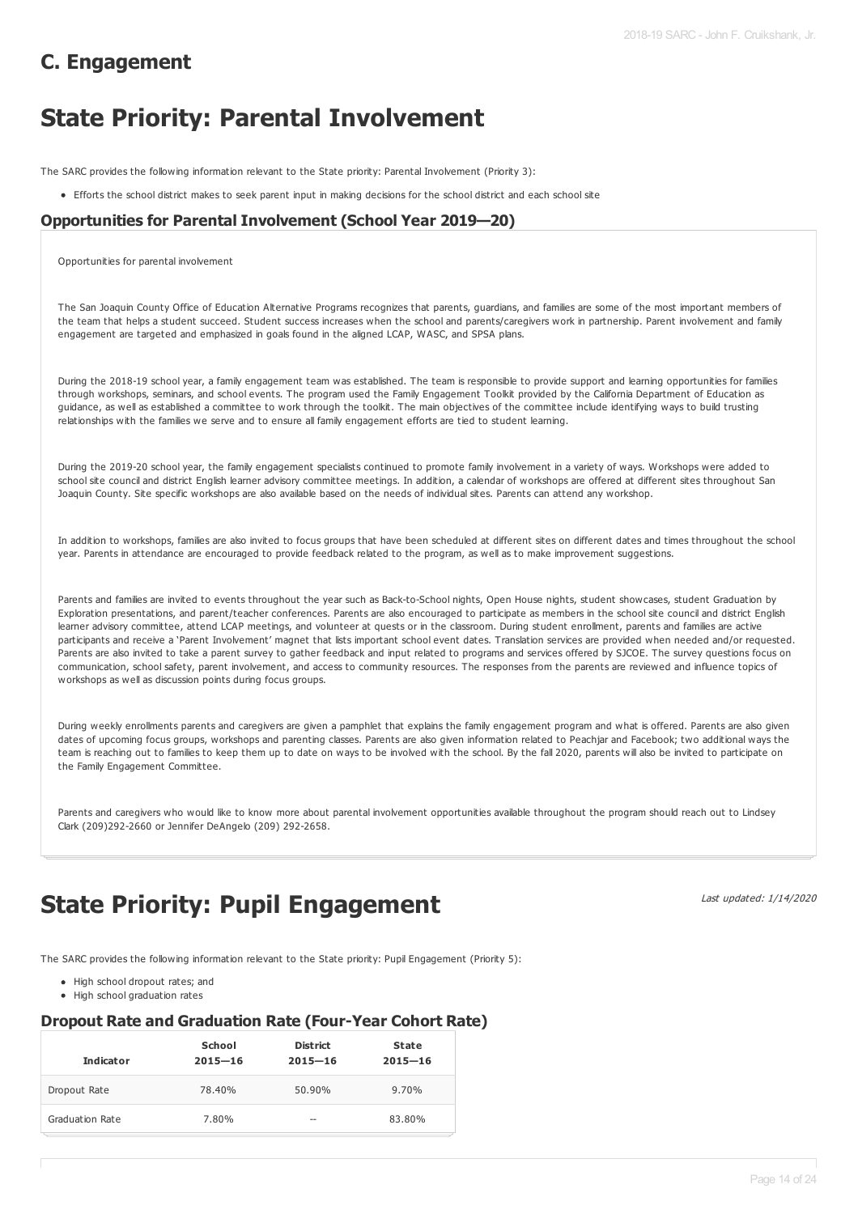# **C. Engagement**

# **State Priority: Parental Involvement**

The SARC provides the following information relevant to the State priority: Parental Involvement (Priority 3):

Efforts the school district makes to seek parent input in making decisions for the school district and each school site

## **Opportunities for Parental Involvement (School Year 2019—20)**

Opportunities for parental involvement

The San Joaquin County Office of Education Alternative Programs recognizes that parents, guardians, and families are some of the most important members of the team that helps a student succeed. Student success increases when the school and parents/caregivers work in partnership. Parent involvement and family engagement are targeted and emphasized in goals found in the aligned LCAP, WASC, and SPSA plans.

During the 2018-19 school year, a family engagement team was established. The team is responsible to provide support and learning opportunities for families through workshops, seminars, and school events. The program used the Family Engagement Toolkit provided by the California Department of Education as guidance, as well as established a committee to work through the toolkit. The main objectives of the committee include identifying ways to build trusting relationships with the families we serve and to ensure all family engagement efforts are tied to student learning.

During the 2019-20 school year, the family engagement specialists continued to promote family involvement in a variety of ways. Workshops were added to school site council and district English learner advisory committee meetings. In addition, a calendar of workshops are offered at different sites throughout San Joaquin County. Site specific workshops are also available based on the needs of individual sites. Parents can attend any workshop.

In addition to workshops, families are also invited to focus groups that have been scheduled at different sites on different dates and times throughout the school year. Parents in attendance are encouraged to provide feedback related to the program, as well as to make improvement suggestions.

Parents and families are invited to events throughout the year such as Back-to-School nights, Open House nights, student showcases, student Graduation by Exploration presentations, and parent/teacher conferences. Parents are also encouraged to participate as members in the school site council and district English learner advisory committee, attend LCAP meetings, and volunteer at quests or in the classroom. During student enrollment, parents and families are active participants and receive a 'Parent Involvement' magnet that lists important school event dates. Translation services are provided when needed and/or requested. Parents are also invited to take a parent survey to gather feedback and input related to programs and services offered by SJCOE. The survey questions focus on communication, school safety, parent involvement, and access to community resources. The responses from the parents are reviewed and influence topics of workshops as well as discussion points during focus groups.

During weekly enrollments parents and caregivers are given a pamphlet that explains the family engagement program and what is offered. Parents are also given dates of upcoming focus groups, workshops and parenting classes. Parents are also given information related to Peachjar and Facebook; two additional ways the team is reaching out to families to keep them up to date on ways to be involved with the school. By the fall 2020, parents will also be invited to participate on the Family Engagement Committee.

Parents and caregivers who would like to know more about parental involvement opportunities available throughout the program should reach out to Lindsey Clark (209)292-2660 or Jennifer DeAngelo (209) 292-2658.

# **State Priority: Pupil Engagement**

Last updated: 1/14/2020

The SARC provides the following information relevant to the State priority: Pupil Engagement (Priority 5):

- High school dropout rates; and
- High school graduation rates

### **Dropout Rate and Graduation Rate (Four-Year Cohort Rate)**

| <b>Indicator</b> | School<br>$2015 - 16$ | <b>District</b><br>$2015 - 16$ | <b>State</b><br>$2015 - 16$ |
|------------------|-----------------------|--------------------------------|-----------------------------|
| Dropout Rate     | 78.40%                | 50.90%                         | 9.70%                       |
| Graduation Rate  | 7.80%                 | --                             | 83.80%                      |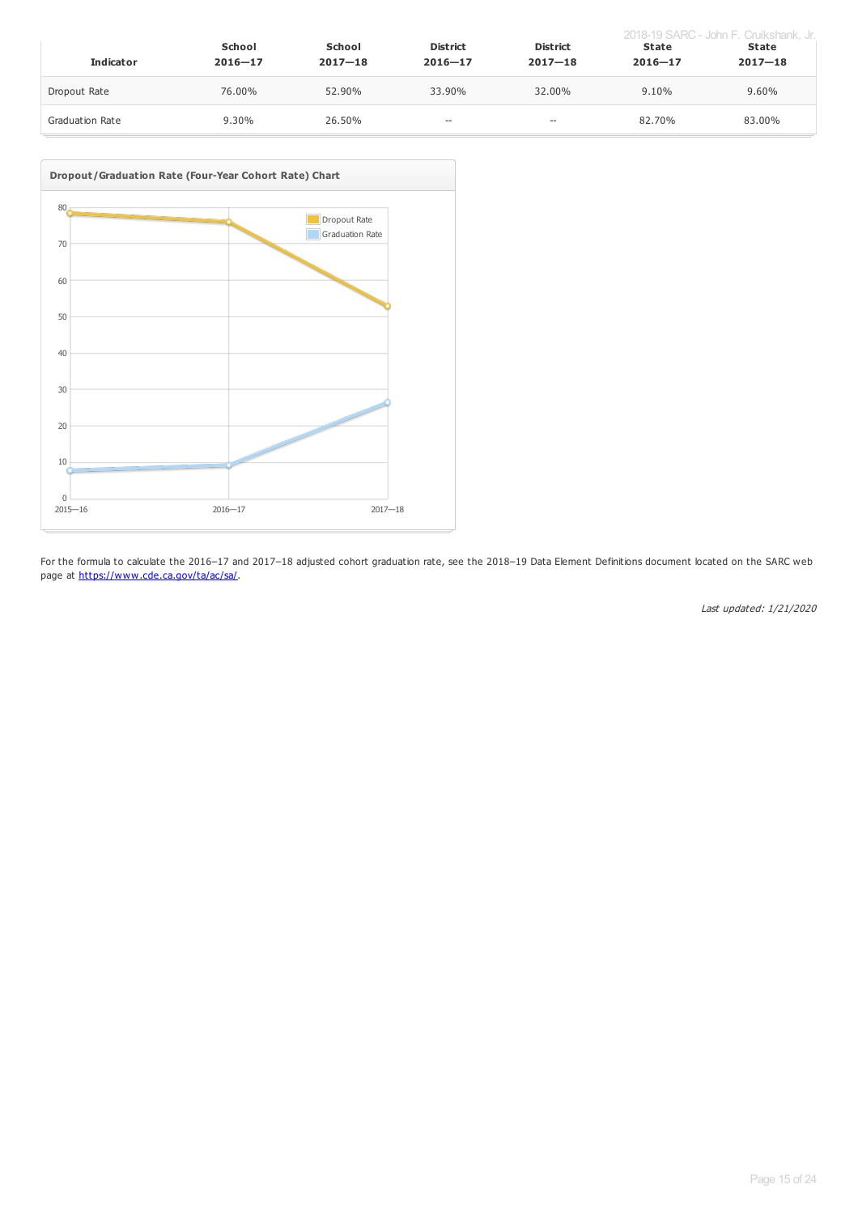|                        |             |             |                 |                 |             | 2018-19 SARC - John F. Cruikshank, Jr. |
|------------------------|-------------|-------------|-----------------|-----------------|-------------|----------------------------------------|
|                        | School      | School      | <b>District</b> | <b>District</b> | State       | <b>State</b>                           |
| <b>Indicator</b>       | $2016 - 17$ | $2017 - 18$ | $2016 - 17$     | $2017 - 18$     | $2016 - 17$ | $2017 - 18$                            |
| Dropout Rate           | 76.00%      | 52.90%      | 33.90%          | 32.00%          | 9.10%       | 9.60%                                  |
| <b>Graduation Rate</b> | 9.30%       | 26.50%      | $- -$           | $- -$           | 82.70%      | 83.00%                                 |



For the formula to calculate the 2016–17 and 2017–18 adjusted cohort graduation rate, see the 2018–19 Data Element Definitions document located on the SARC web page at <https://www.cde.ca.gov/ta/ac/sa/>.

Last updated: 1/21/2020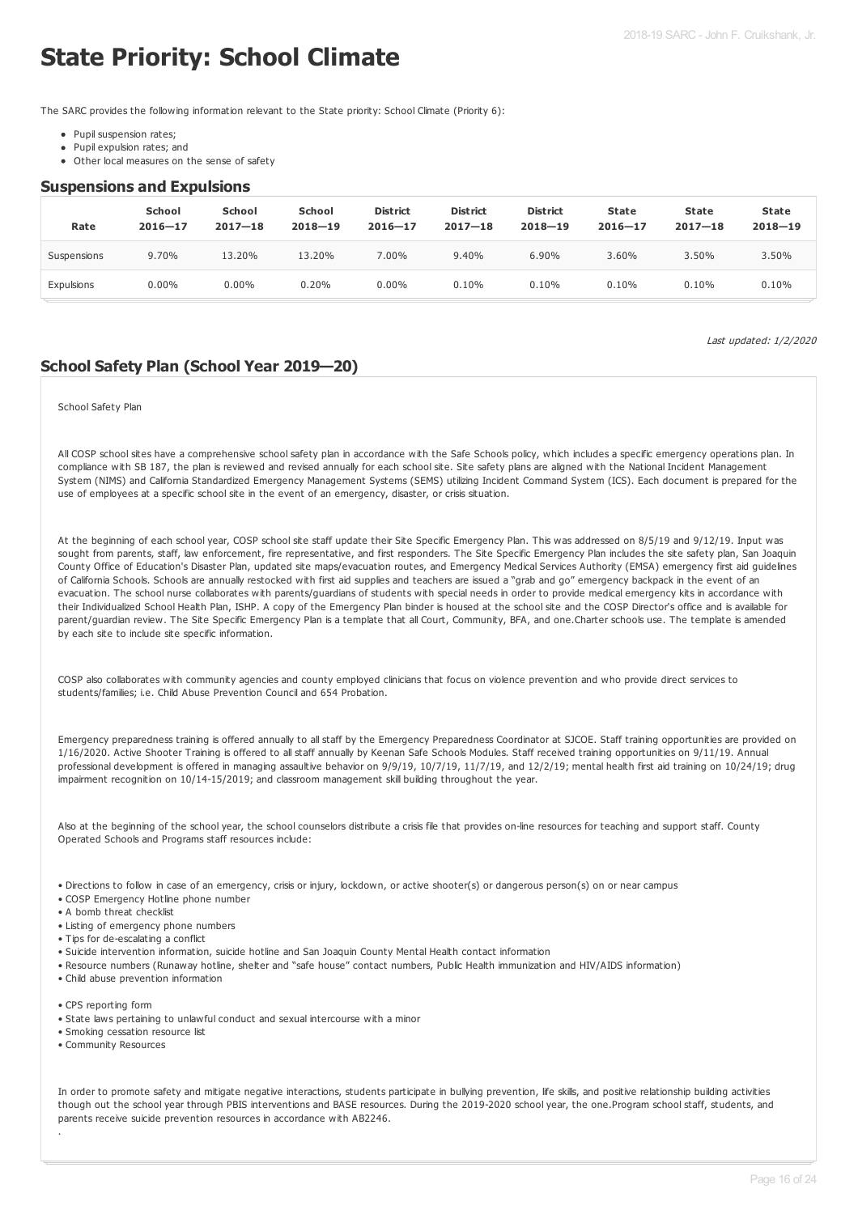# **State Priority: School Climate**

The SARC provides the following information relevant to the State priority: School Climate (Priority 6):

- Pupil suspension rates;
- Pupil expulsion rates; and
- Other local measures on the sense of safety

### **Suspensions and Expulsions**

| Rate        | <b>School</b><br>$2016 - 17$ | <b>School</b><br>$2017 - 18$ | <b>School</b><br>$2018 - 19$ | <b>District</b><br>$2016 - 17$ | <b>District</b><br>$2017 - 18$ | <b>District</b><br>$2018 - 19$ | State<br>$2016 - 17$ | <b>State</b><br>$2017 - 18$ | <b>State</b><br>$2018 - 19$ |
|-------------|------------------------------|------------------------------|------------------------------|--------------------------------|--------------------------------|--------------------------------|----------------------|-----------------------------|-----------------------------|
| Suspensions | 9.70%                        | 13.20%                       | 13.20%                       | $7.00\%$                       | 9.40%                          | 6.90%                          | 3.60%                | 3.50%                       | 3.50%                       |
| Expulsions  | $0.00\%$                     | $0.00\%$                     | 0.20%                        | $0.00\%$                       | 0.10%                          | 0.10%                          | 0.10%                | 0.10%                       | 0.10%                       |

Last updated: 1/2/2020

### **School Safety Plan (School Year 2019—20)**

#### School Safety Plan

All COSP school sites have a comprehensive school safety plan in accordance with the Safe Schools policy, which includes a specific emergency operations plan. In compliance with SB 187, the plan is reviewed and revised annually for each school site. Site safety plans are aligned with the National Incident Management System (NIMS) and California Standardized Emergency Management Systems (SEMS) utilizing Incident Command System (ICS). Each document is prepared for the use of employees at a specific school site in the event of an emergency, disaster, or crisis situation.

At the beginning of each school year, COSP school site staff update their Site Specific Emergency Plan. This was addressed on 8/5/19 and 9/12/19. Input was sought from parents, staff, law enforcement, fire representative, and first responders. The Site Specific Emergency Plan includes the site safety plan, San Joaquin County Office of Education's Disaster Plan, updated site maps/evacuation routes, and Emergency Medical Services Authority (EMSA) emergency first aid guidelines of California Schools. Schools are annually restocked with first aid supplies and teachers are issued a "grab and go" emergency backpack in the event of an evacuation. The school nurse collaborates with parents/guardians of students with special needs in order to provide medical emergency kits in accordance with their Individualized School Health Plan, ISHP. A copy of the Emergency Plan binder is housed at the school site and the COSP Director's office and is available for parent/guardian review. The Site Specific Emergency Plan is a template that all Court, Community, BFA, and one.Charter schools use. The template is amended by each site to include site specific information.

COSP also collaborates with community agencies and county employed clinicians that focus on violence prevention and who provide direct services to students/families; i.e. Child Abuse Prevention Council and 654 Probation.

Emergency preparedness training is offered annually to all staff by the Emergency Preparedness Coordinator at SJCOE. Staff training opportunities are provided on 1/16/2020. Active Shooter Training is offered to all staff annually by Keenan Safe Schools Modules. Staff received training opportunities on 9/11/19. Annual professional development is offered in managing assaultive behavior on 9/9/19, 10/7/19, 11/7/19, and 12/2/19; mental health first aid training on 10/24/19; drug impairment recognition on 10/14-15/2019; and classroom management skill building throughout the year.

Also at the beginning of the school year, the school counselors distribute a crisis file that provides on-line resources for teaching and support staff. County Operated Schools and Programs staff resources include:

• Directions to follow in case of an emergency, crisis or injury, lockdown, or active shooter(s) or dangerous person(s) on or near campus

- COSP Emergency Hotline phone number
- A bomb threat checklist
- Listing of emergency phone numbers
- Tips for de-escalating a conflict
- Suicide intervention information, suicide hotline and San Joaquin County Mental Health contact information
- Resource numbers (Runaway hotline, shelter and "safe house" contact numbers, Public Health immunization and HIV/AIDS information)
- Child abuse prevention information
- CPS reporting form
- State laws pertaining to unlawful conduct and sexual intercourse with a minor
- Smoking cessation resource list
- Community Resources

.

In order to promote safety and mitigate negative interactions, students participate in bullying prevention, life skills, and positive relationship building activities though out the school year through PBIS interventions and BASE resources. During the 2019-2020 school year, the one.Program school staff, students, and parents receive suicide prevention resources in accordance with AB2246.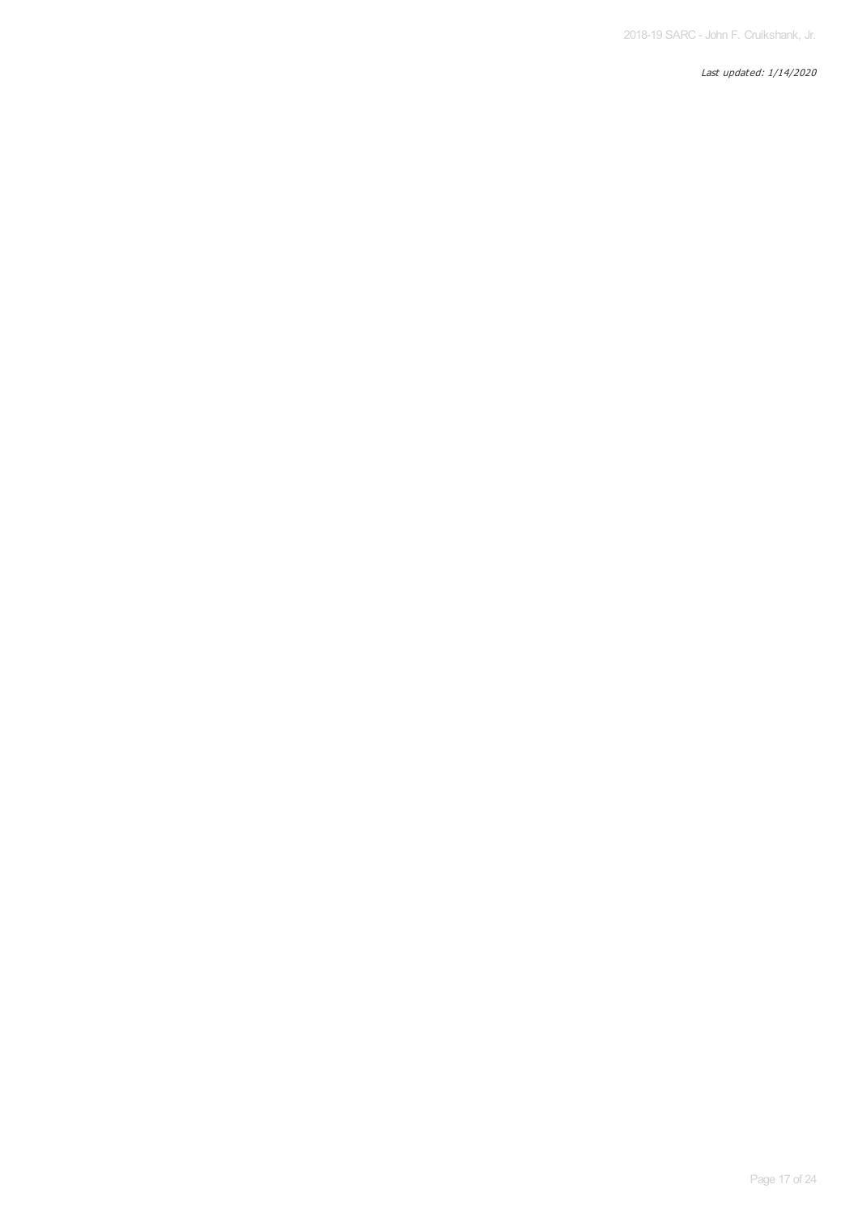Last updated: 1/14/2020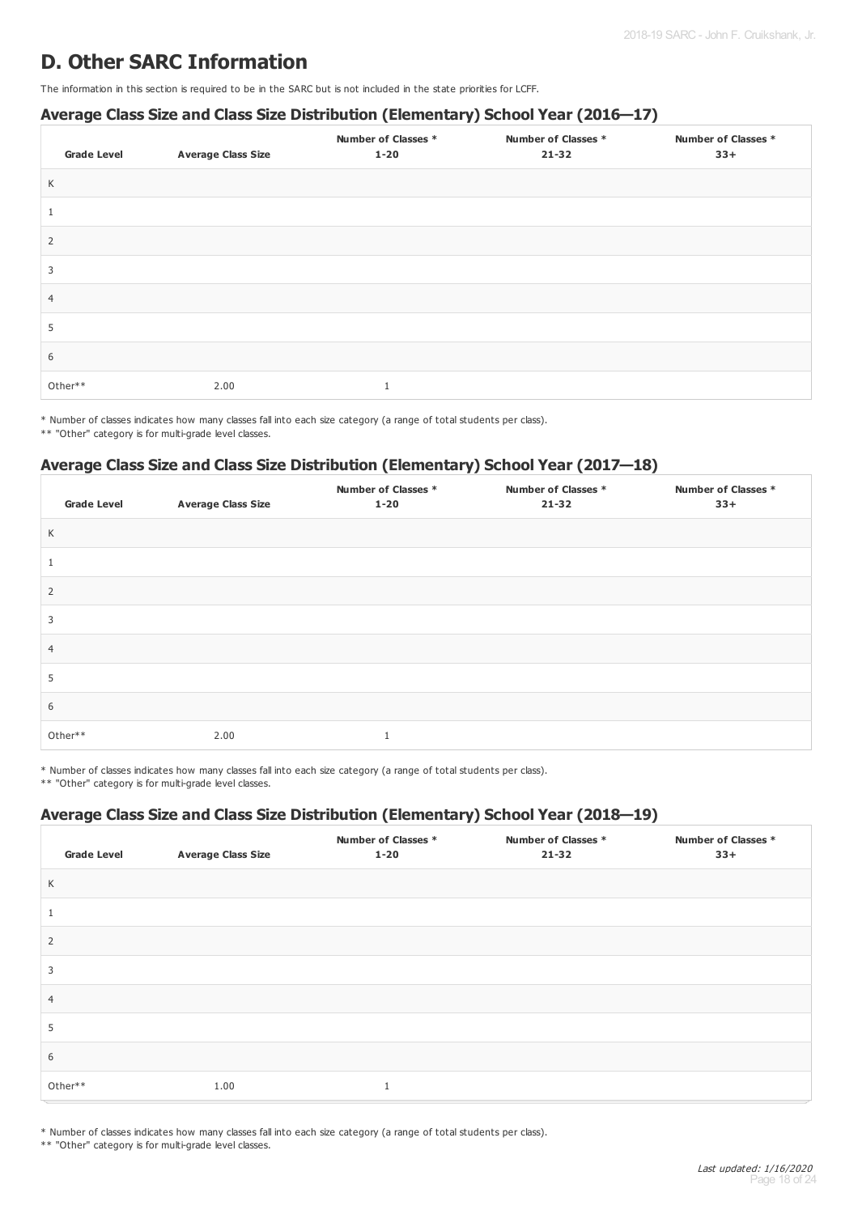# **D. Other SARC Information**

The information in this section is required to be in the SARC but is not included in the state priorities for LCFF.

## **Average Class Size and Class Size Distribution (Elementary) School Year (2016—17)**

| <b>Grade Level</b> | <b>Average Class Size</b> | Number of Classes *<br>$1 - 20$ | Number of Classes *<br>$21 - 32$ | Number of Classes *<br>$33+$ |
|--------------------|---------------------------|---------------------------------|----------------------------------|------------------------------|
| K                  |                           |                                 |                                  |                              |
| 1                  |                           |                                 |                                  |                              |
| $\overline{2}$     |                           |                                 |                                  |                              |
| 3                  |                           |                                 |                                  |                              |
| $\overline{4}$     |                           |                                 |                                  |                              |
| 5                  |                           |                                 |                                  |                              |
| 6                  |                           |                                 |                                  |                              |
| Other**            | 2.00                      | $\mathbf{1}$                    |                                  |                              |

\* Number of classes indicates how many classes fall into each size category (a range of total students per class).

\*\* "Other" category is for multi-grade level classes.

# **Average Class Size and Class Size Distribution (Elementary) School Year (2017—18)**

| <b>Grade Level</b> | <b>Average Class Size</b> | Number of Classes *<br>$1 - 20$ | Number of Classes *<br>$21 - 32$ | Number of Classes *<br>$33+$ |
|--------------------|---------------------------|---------------------------------|----------------------------------|------------------------------|
| К                  |                           |                                 |                                  |                              |
|                    |                           |                                 |                                  |                              |
| 2                  |                           |                                 |                                  |                              |
| 3                  |                           |                                 |                                  |                              |
| $\overline{4}$     |                           |                                 |                                  |                              |
| 5                  |                           |                                 |                                  |                              |
| 6                  |                           |                                 |                                  |                              |
| Other**            | 2.00                      | $\mathbf{1}$                    |                                  |                              |

\* Number of classes indicates how many classes fall into each size category (a range of total students per class).

\*\* "Other" category is for multi-grade level classes.

# **Average Class Size and Class Size Distribution (Elementary) School Year (2018—19)**

| <b>Grade Level</b> | <b>Average Class Size</b> | Number of Classes *<br>$1 - 20$ | Number of Classes *<br>$21 - 32$ | <b>Number of Classes *</b><br>$33+$ |
|--------------------|---------------------------|---------------------------------|----------------------------------|-------------------------------------|
| K                  |                           |                                 |                                  |                                     |
| 1                  |                           |                                 |                                  |                                     |
| 2                  |                           |                                 |                                  |                                     |
| 3                  |                           |                                 |                                  |                                     |
| $\overline{4}$     |                           |                                 |                                  |                                     |
| 5                  |                           |                                 |                                  |                                     |
| 6                  |                           |                                 |                                  |                                     |
| Other**            | 1.00                      | 1                               |                                  |                                     |

\* Number of classes indicates how many classes fall into each size category (a range of total students per class).

\*\* "Other" category is for multi-grade level classes.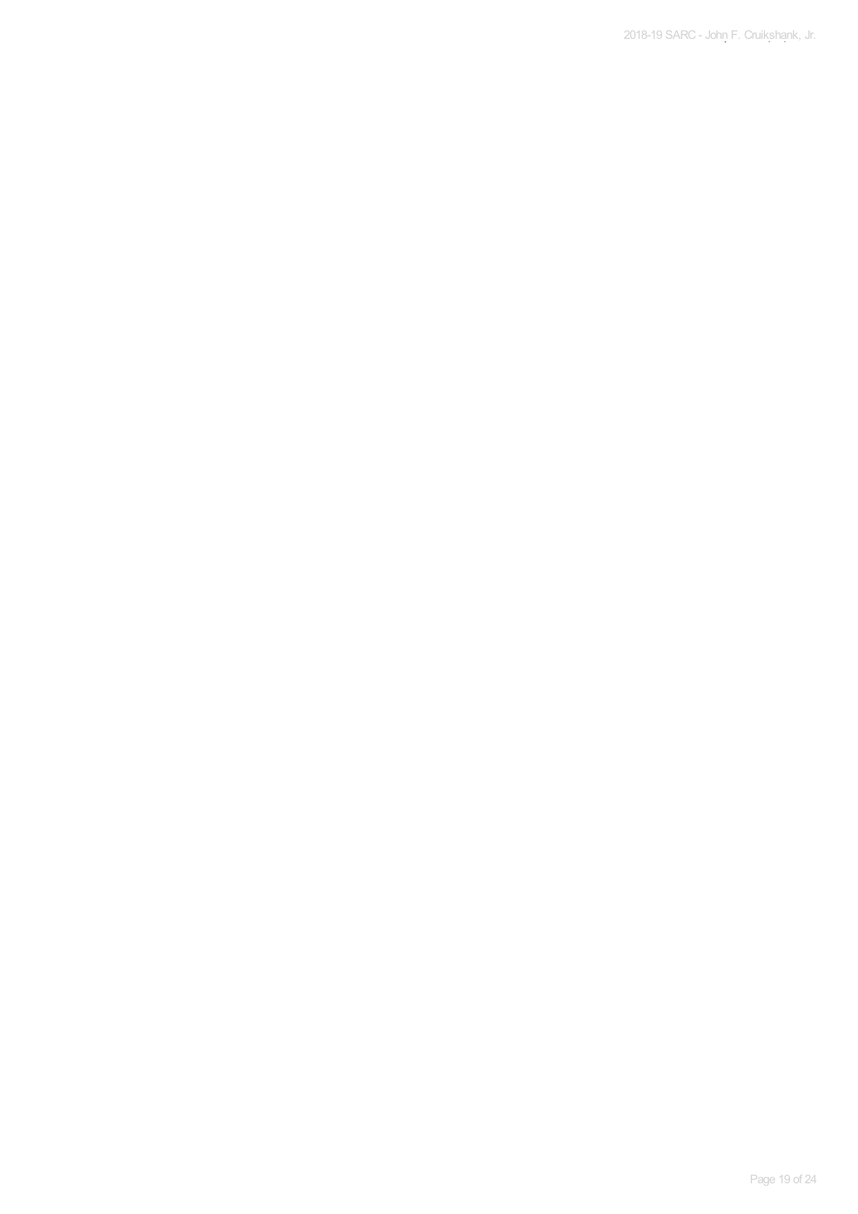2018-19 SARC - John F. Cruikshank, Jr.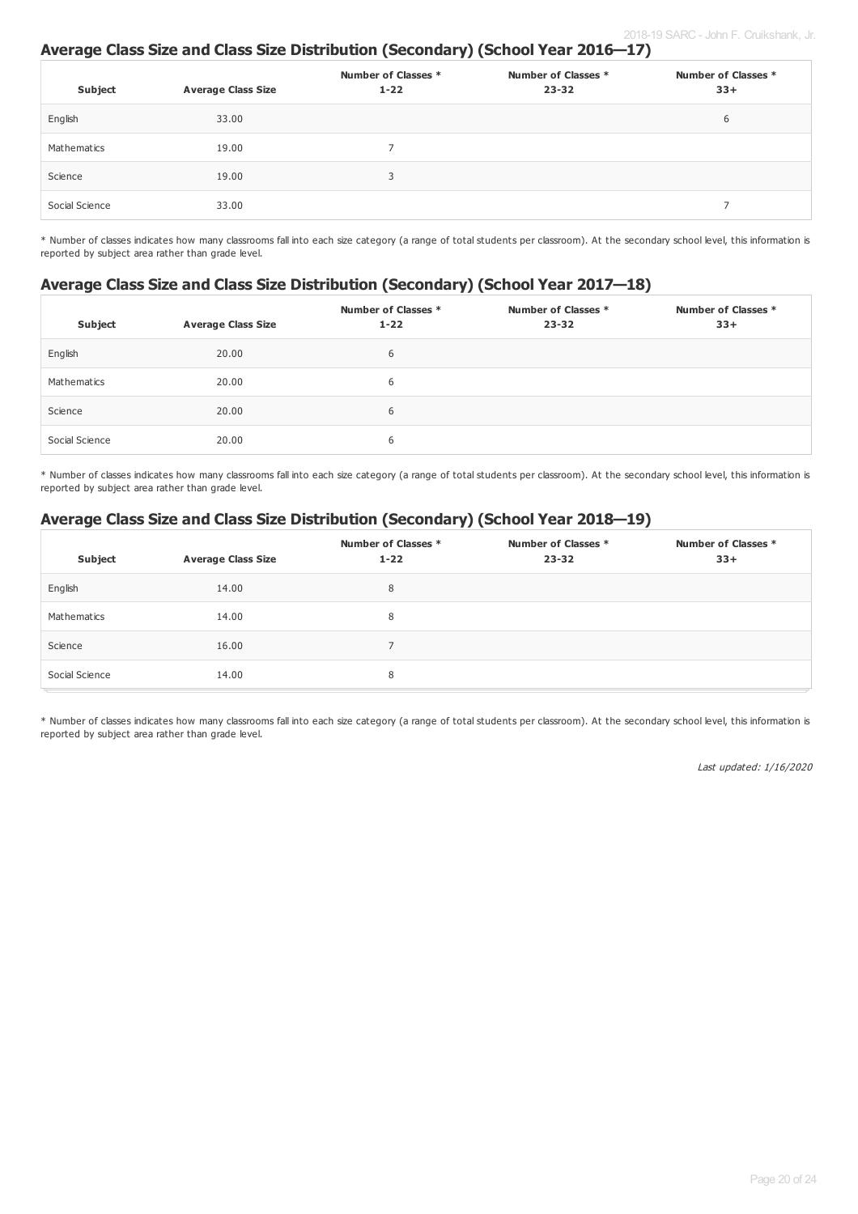## **Average Class Size and Class Size Distribution (Secondary) (School Year 2016—17)**

| Subject        | <b>Average Class Size</b> | Number of Classes *<br>$1 - 22$ | Number of Classes *<br>$23 - 32$ | Number of Classes *<br>$33+$ |
|----------------|---------------------------|---------------------------------|----------------------------------|------------------------------|
| English        | 33.00                     |                                 |                                  | 6                            |
| Mathematics    | 19.00                     |                                 |                                  |                              |
| Science        | 19.00                     | 3                               |                                  |                              |
| Social Science | 33.00                     |                                 |                                  |                              |

\* Number of classes indicates how many classrooms fall into each size category (a range of total students per classroom). At the secondary school level, this information is reported by subject area rather than grade level.

### **Average Class Size and Class Size Distribution (Secondary) (School Year 2017—18)**

| Subject        | <b>Average Class Size</b> | Number of Classes *<br>$1 - 22$ | Number of Classes *<br>$23 - 32$ | Number of Classes *<br>$33+$ |
|----------------|---------------------------|---------------------------------|----------------------------------|------------------------------|
| English        | 20.00                     | 6                               |                                  |                              |
| Mathematics    | 20.00                     | 6                               |                                  |                              |
| Science        | 20.00                     | 6                               |                                  |                              |
| Social Science | 20.00                     | b                               |                                  |                              |

\* Number of classes indicates how many classrooms fall into each size category (a range of total students per classroom). At the secondary school level, this information is reported by subject area rather than grade level.

### **Average Class Size and Class Size Distribution (Secondary) (School Year 2018—19)**

| Subject        | <b>Average Class Size</b> | Number of Classes *<br>$1 - 22$ | Number of Classes *<br>$23 - 32$ | Number of Classes *<br>$33+$ |
|----------------|---------------------------|---------------------------------|----------------------------------|------------------------------|
| English        | 14.00                     | 8                               |                                  |                              |
| Mathematics    | 14.00                     | 8                               |                                  |                              |
| Science        | 16.00                     |                                 |                                  |                              |
| Social Science | 14.00                     | 8                               |                                  |                              |

\* Number of classes indicates how many classrooms fall into each size category (a range of total students per classroom). At the secondary school level, this information is reported by subject area rather than grade level.

Last updated: 1/16/2020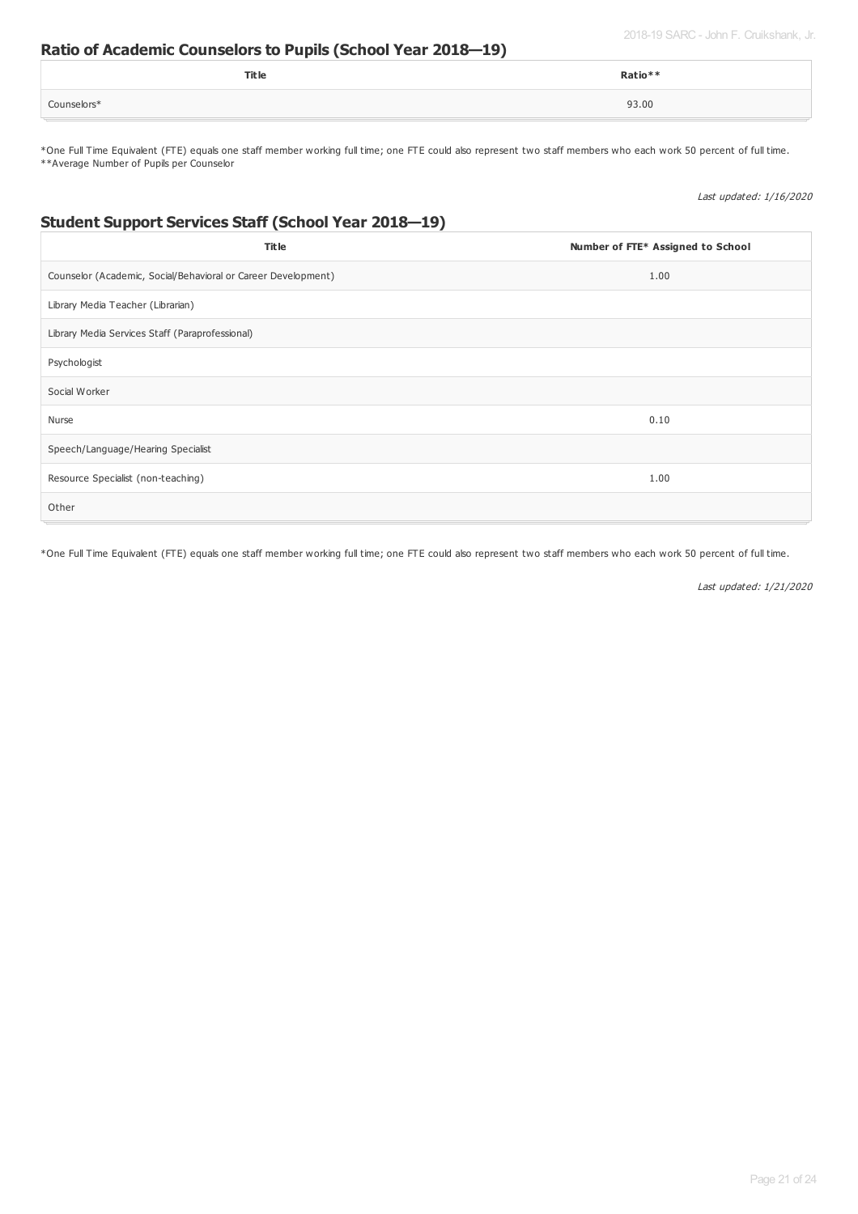2018-19 SARC - John F. Cruikshank, Jr.

## **Ratio of Academic Counselors to Pupils (School Year 2018—19)**

|             | <b>Title</b> | Ratio** |
|-------------|--------------|---------|
| Counselors* |              | 93.00   |

\*One Full Time Equivalent (FTE) equals one staff member working full time; one FTE could also represent two staff members who each work 50 percent of full time. \*\*Average Number of Pupils per Counselor

Last updated: 1/16/2020

# **Student Support Services Staff (School Year 2018—19)**

| <b>Title</b>                                                  | Number of FTE* Assigned to School |
|---------------------------------------------------------------|-----------------------------------|
| Counselor (Academic, Social/Behavioral or Career Development) | 1.00                              |
| Library Media Teacher (Librarian)                             |                                   |
| Library Media Services Staff (Paraprofessional)               |                                   |
| Psychologist                                                  |                                   |
| Social Worker                                                 |                                   |
| Nurse                                                         | 0.10                              |
| Speech/Language/Hearing Specialist                            |                                   |
| Resource Specialist (non-teaching)                            | 1.00                              |
| Other                                                         |                                   |

\*One Full Time Equivalent (FTE) equals one staff member working full time; one FTE could also represent two staff members who each work 50 percent of full time.

Last updated: 1/21/2020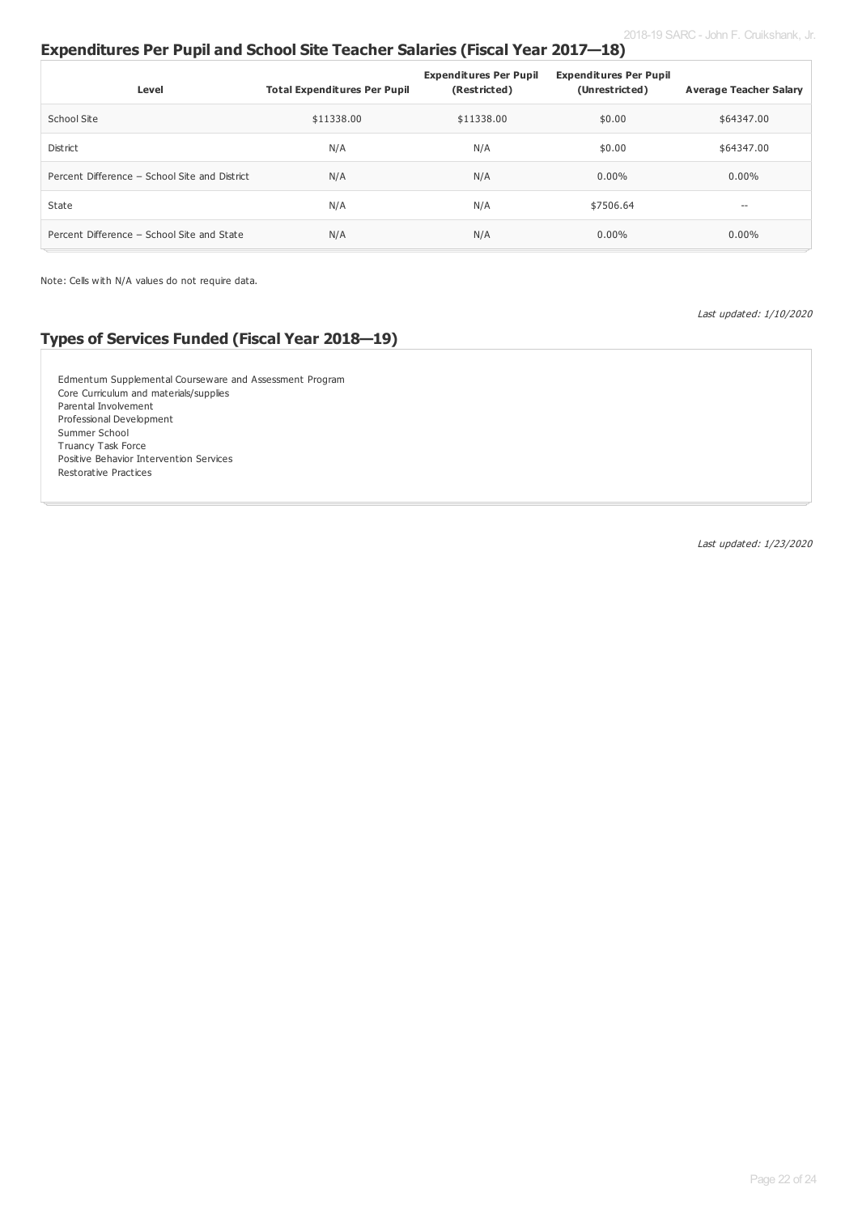# **Expenditures Per Pupil and School Site Teacher Salaries (Fiscal Year 2017—18)**

| Level                                         | <b>Total Expenditures Per Pupil</b> | <b>Expenditures Per Pupil</b><br>(Restricted) | <b>Expenditures Per Pupil</b><br>(Unrestricted) | <b>Average Teacher Salary</b> |
|-----------------------------------------------|-------------------------------------|-----------------------------------------------|-------------------------------------------------|-------------------------------|
| School Site                                   | \$11338.00                          | \$11338.00                                    | \$0.00                                          | \$64347.00                    |
| District                                      | N/A                                 | N/A                                           | \$0.00                                          | \$64347.00                    |
| Percent Difference - School Site and District | N/A                                 | N/A                                           | $0.00\%$                                        | $0.00\%$                      |
| State                                         | N/A                                 | N/A                                           | \$7506.64                                       | $-\!$                         |
| Percent Difference - School Site and State    | N/A                                 | N/A                                           | $0.00\%$                                        | $0.00\%$                      |

Note: Cells with N/A values do not require data.

Last updated: 1/10/2020

# **Types of Services Funded (Fiscal Year 2018—19)**

Edmentum Supplemental Courseware and Assessment Program Core Curriculum and materials/supplies Parental Involvement Professional Development Summer School Truancy Task Force Positive Behavior Intervention Services Restorative Practices

Last updated: 1/23/2020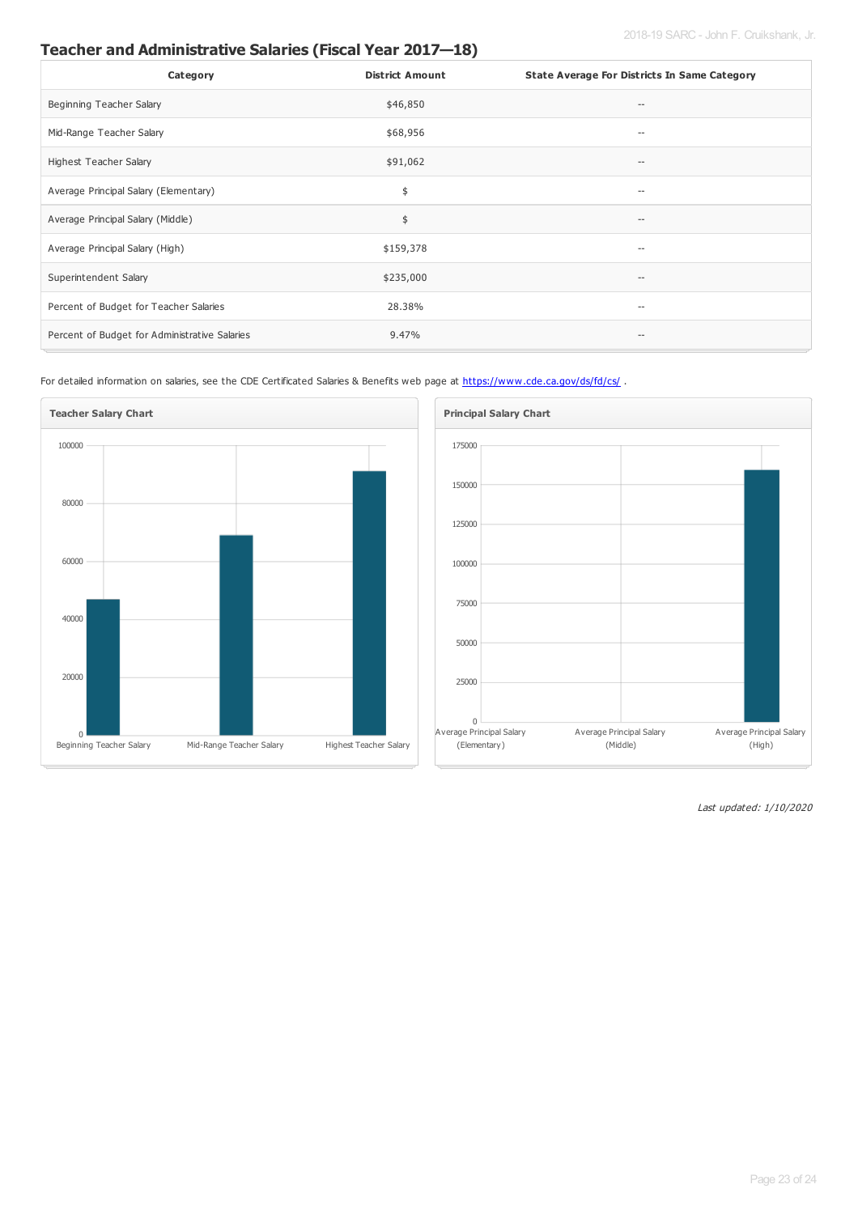# **Teacher and Administrative Salaries (Fiscal Year 2017—18)**

| Category                                      | <b>District Amount</b> | <b>State Average For Districts In Same Category</b> |
|-----------------------------------------------|------------------------|-----------------------------------------------------|
| Beginning Teacher Salary                      | \$46,850               | $\qquad \qquad -$                                   |
| Mid-Range Teacher Salary                      | \$68,956               | $\hspace{0.05cm} -$                                 |
| Highest Teacher Salary                        | \$91,062               | $\hspace{0.05cm} -\hspace{0.05cm} -\hspace{0.05cm}$ |
| Average Principal Salary (Elementary)         | \$                     | $\hspace{0.05cm}$                                   |
| Average Principal Salary (Middle)             | \$                     | $\hspace{0.05cm} -\hspace{0.05cm} -\hspace{0.05cm}$ |
| Average Principal Salary (High)               | \$159,378              | $-\!$                                               |
| Superintendent Salary                         | \$235,000              | $-\!$                                               |
| Percent of Budget for Teacher Salaries        | 28.38%                 | $-\!$                                               |
| Percent of Budget for Administrative Salaries | 9.47%                  | $\hspace{0.05cm} -\hspace{0.05cm} -\hspace{0.05cm}$ |

For detailed information on salaries, see the CDE Certificated Salaries & Benefits web page at <https://www.cde.ca.gov/ds/fd/cs/>.





Last updated: 1/10/2020